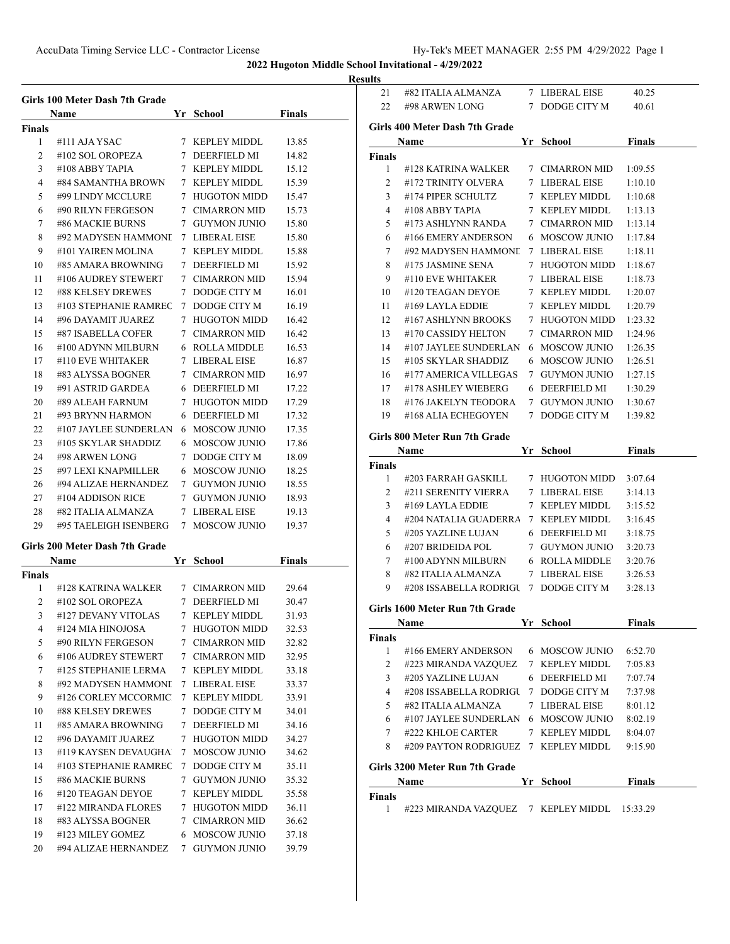## **Results**

|               | Girls 100 Meter Dash 7th Grade<br>Name |             | Yr School           | <b>Finals</b> |
|---------------|----------------------------------------|-------------|---------------------|---------------|
| Finals        |                                        |             |                     |               |
| 1             | #111 AJA YSAC                          |             | 7 KEPLEY MIDDL      | 13.85         |
| 2             | #102 SOL OROPEZA                       |             | 7 DEERFIELD MI      | 14.82         |
| 3             | #108 ABBY TAPIA                        |             | 7 KEPLEY MIDDL      | 15.12         |
| 4             | #84 SAMANTHA BROWN                     |             | 7 KEPLEY MIDDL      | 15.39         |
| 5             | #99 LINDY MCCLURE                      |             | 7 HUGOTON MIDD      | 15.47         |
| 6             | #90 RILYN FERGESON                     |             | 7 CIMARRON MID      | 15.73         |
| 7             | #86 MACKIE BURNS                       |             | 7 GUYMON JUNIO      | 15.80         |
| 8             | #92 MADYSEN HAMMONI                    |             | 7 LIBERAL EISE      | 15.80         |
| 9             | #101 YAIREN MOLINA                     |             | 7 KEPLEY MIDDL      | 15.88         |
|               | #85 AMARA BROWNING                     |             |                     |               |
| 10            |                                        |             | 7 DEERFIELD MI      | 15.92         |
| 11            | #106 AUDREY STEWERT                    |             | 7 CIMARRON MID      | 15.94         |
| 12            | #88 KELSEY DREWES                      |             | 7 DODGE CITY M      | 16.01         |
| 13            | #103 STEPHANIE RAMREC                  |             | 7 DODGE CITY M      | 16.19         |
| 14            | #96 DAYAMIT JUAREZ                     |             | 7 HUGOTON MIDD      | 16.42         |
| 15            | #87 ISABELLA COFER                     |             | 7 CIMARRON MID      | 16.42         |
| 16            | #100 ADYNN MILBURN                     |             | 6 ROLLA MIDDLE      | 16.53         |
| 17            | #110 EVE WHITAKER                      |             | 7 LIBERAL EISE      | 16.87         |
| 18            | #83 ALYSSA BOGNER                      |             | 7 CIMARRON MID      | 16.97         |
| 19            | #91 ASTRID GARDEA                      |             | 6 DEERFIELD MI      | 17.22         |
| 20            | #89 ALEAH FARNUM                       |             | 7 HUGOTON MIDD      | 17.29         |
| 21            | #93 BRYNN HARMON                       |             | 6 DEERFIELD MI      | 17.32         |
| 22            | #107 JAYLEE SUNDERLAN                  |             | 6 MOSCOW JUNIO      | 17.35         |
| 23            | #105 SKYLAR SHADDIZ                    |             | 6 MOSCOW JUNIO      | 17.86         |
| 24            | #98 ARWEN LONG                         |             | 7 DODGE CITY M      | 18.09         |
| 25            | #97 LEXI KNAPMILLER                    |             | 6 MOSCOW JUNIO      | 18.25         |
| 26            | #94 ALIZAE HERNANDEZ                   |             | 7 GUYMON JUNIO      | 18.55         |
| 27            | #104 ADDISON RICE                      |             | 7 GUYMON JUNIO      | 18.93         |
| 28            | #82 ITALIA ALMANZA                     |             | 7 LIBERAL EISE      | 19.13         |
| 29            | #95 TAELEIGH ISENBERG                  |             | 7 MOSCOW JUNIO      | 19.37         |
|               |                                        |             |                     |               |
|               | Girls 200 Meter Dash 7th Grade         |             |                     |               |
|               | <b>Name</b>                            | Yr          | School              | <b>Finals</b> |
| <b>Finals</b> |                                        |             |                     |               |
| 1             | #128 KATRINA WALKER                    |             | 7 CIMARRON MID      | 29.64         |
| 2             | #102 SOL OROPEZA                       |             | 7 DEERFIELD MI      | 30.47         |
| 3             | #127 DEVANY VITOLAS                    |             | 7 KEPLEY MIDDL      | 31.93         |
| 4             | #124 MIA HINOJOSA                      | 7           | <b>HUGOTON MIDD</b> | 32.53         |
| 5             | #90 RILYN FERGESON                     | $7^{\circ}$ | <b>CIMARRON MID</b> | 32.82         |
| 6             | #106 AUDREY STEWERT                    |             | 7 CIMARRON MID      | 32.95         |
| 7             | #125 STEPHANIE LERMA                   |             | 7 KEPLEY MIDDL      | 33.18         |
| 8             | #92 MADYSEN HAMMONI                    | 7           | <b>LIBERAL EISE</b> | 33.37         |
| 9             | #126 CORLEY MCCORMIC                   |             | 7 KEPLEY MIDDL      | 33.91         |
| 10            | #88 KELSEY DREWES                      | 7           | DODGE CITY M        | 34.01         |
| 11            | #85 AMARA BROWNING                     | 7           | DEERFIELD MI        | 34.16         |
| 12            | #96 DAYAMIT JUAREZ                     | 7           | <b>HUGOTON MIDD</b> | 34.27         |
| 13            | #119 KAYSEN DEVAUGHA                   | 7           | <b>MOSCOW JUNIO</b> | 34.62         |
| 14            | #103 STEPHANIE RAMREC                  | 7           | DODGE CITY M        | 35.11         |
| 15            | #86 MACKIE BURNS                       | 7           | <b>GUYMON JUNIO</b> | 35.32         |
| 16            | #120 TEAGAN DEYOE                      |             | 7 KEPLEY MIDDL      | 35.58         |
| 17            | #122 MIRANDA FLORES                    | 7           | <b>HUGOTON MIDD</b> | 36.11         |
| 18            | #83 ALYSSA BOGNER                      |             | 7 CIMARRON MID      | 36.62         |
| 19            | #123 MILEY GOMEZ                       | 6           | <b>MOSCOW JUNIO</b> | 37.18         |
| 20            | #94 ALIZAE HERNANDEZ                   | 7           | <b>GUYMON JUNIO</b> | 39.79         |

| 21              | #82 ITALIA ALMANZA                                                        | 7 LIBERAL EISE | 40.25         |
|-----------------|---------------------------------------------------------------------------|----------------|---------------|
| 22              | #98 ARWEN LONG                                                            | 7 DODGE CITY M | 40.61         |
|                 |                                                                           |                |               |
|                 | Girls 400 Meter Dash 7th Grade                                            |                |               |
|                 | Name                                                                      | Yr School      | <b>Finals</b> |
| Finals          |                                                                           |                |               |
| $\mathbf{1}$    | #128 KATRINA WALKER                                                       | 7 CIMARRON MID | 1:09.55       |
| $\overline{2}$  | #172 TRINITY OLVERA                                                       | 7 LIBERAL EISE | 1:10.10       |
| 3               | #174 PIPER SCHULTZ                                                        | 7 KEPLEY MIDDL | 1:10.68       |
| 4               | #108 ABBY TAPIA                                                           | 7 KEPLEY MIDDL | 1:13.13       |
| 5               | #173 ASHLYNN RANDA                                                        | 7 CIMARRON MID | 1:13.14       |
| 6               | #166 EMERY ANDERSON                                                       | 6 MOSCOW JUNIO | 1:17.84       |
| $7\overline{ }$ | #92 MADYSEN HAMMONI 7 LIBERAL EISE                                        |                | 1:18.11       |
| 8               | #175 JASMINE SENA                                                         | 7 HUGOTON MIDD | 1:18.67       |
| 9               | #110 EVE WHITAKER                                                         | 7 LIBERAL EISE | 1:18.73       |
| 10              | #120 TEAGAN DEYOE                                                         | 7 KEPLEY MIDDL | 1:20.07       |
| 11              | #169 LAYLA EDDIE                                                          | 7 KEPLEY MIDDL | 1:20.79       |
| 12              | #167 ASHLYNN BROOKS                                                       | 7 HUGOTON MIDD | 1:23.32       |
| 13              | #170 CASSIDY HELTON                                                       | 7 CIMARRON MID | 1:24.96       |
| 14              | #107 JAYLEE SUNDERLAN                                                     | 6 MOSCOW JUNIO | 1:26.35       |
| 15              | #105 SKYLAR SHADDIZ                                                       | 6 MOSCOW JUNIO | 1:26.51       |
| 16              | #177 AMERICA VILLEGAS                                                     | 7 GUYMON JUNIO | 1:27.15       |
| 17              | #178 ASHLEY WIEBERG                                                       | 6 DEERFIELD MI | 1:30.29       |
| 18              | #176 JAKELYN TEODORA                                                      | 7 GUYMON JUNIO | 1:30.67       |
| 19              | #168 ALIA ECHEGOYEN                                                       | 7 DODGE CITY M | 1:39.82       |
|                 | Girls 800 Meter Run 7th Grade                                             |                |               |
|                 |                                                                           |                | <b>Finals</b> |
|                 | Name                                                                      | Yr School      |               |
| Finals<br>1     |                                                                           |                | 3:07.64       |
| 2               | #203 FARRAH GASKILL 7 HUGOTON MIDD<br>#211 SERENITY VIERRA 7 LIBERAL EISE |                | 3:14.13       |
| 3               | #169 LAYLA EDDIE                                                          | 7 KEPLEY MIDDL | 3:15.52       |
| 4               | #204 NATALIA GUADERRA 7 KEPLEY MIDDL                                      |                | 3:16.45       |
| 5               | #205 YAZLINE LUJAN                                                        | 6 DEERFIELD MI | 3:18.75       |
|                 | #207 BRIDEIDA POL                                                         | 7 GUYMON JUNIO |               |
| 6               | #100 ADYNN MILBURN                                                        | 6 ROLLA MIDDLE | 3:20.73       |
| $7\overline{ }$ | #82 ITALIA ALMANZA                                                        |                | 3:20.76       |
| 8               |                                                                           | 7 LIBERAL EISE | 3:26.53       |
| 9               | #208 ISSABELLA RODRIGU 7 DODGE CITY M                                     |                | 3:28.13       |
|                 | Girls 1600 Meter Run 7th Grade                                            |                |               |
|                 | Name                                                                      | Yr School      | <b>Finals</b> |
| <b>Finals</b>   |                                                                           |                |               |
| 1               | #166 EMERY ANDERSON                                                       | 6 MOSCOW JUNIO | 6:52.70       |
| 2               | #223 MIRANDA VAZQUEZ                                                      | 7 KEPLEY MIDDL | 7:05.83       |
| 3               | #205 YAZLINE LUJAN                                                        | 6 DEERFIELD MI | 7:07.74       |
| 4               | #208 ISSABELLA RODRIGU                                                    | 7 DODGE CITY M | 7:37.98       |
| 5               | #82 ITALIA ALMANZA                                                        | 7 LIBERAL EISE | 8:01.12       |
| 6               | #107 JAYLEE SUNDERLAN 6 MOSCOW JUNIO                                      |                | 8:02.19       |
| $7\overline{ }$ | #222 KHLOE CARTER                                                         | 7 KEPLEY MIDDL | 8:04.07       |
| 8               | #209 PAYTON RODRIGUEZ 7 KEPLEY MIDDL                                      |                | 9:15.90       |
|                 |                                                                           |                |               |
|                 | Girls 3200 Meter Run 7th Grade                                            |                |               |
|                 | Name                                                                      | Yr School      | <b>Finals</b> |
| Finals          |                                                                           |                |               |
| 1               | #223 MIRANDA VAZQUEZ 7 KEPLEY MIDDL                                       |                | 15:33.29      |
|                 |                                                                           |                |               |
|                 |                                                                           |                |               |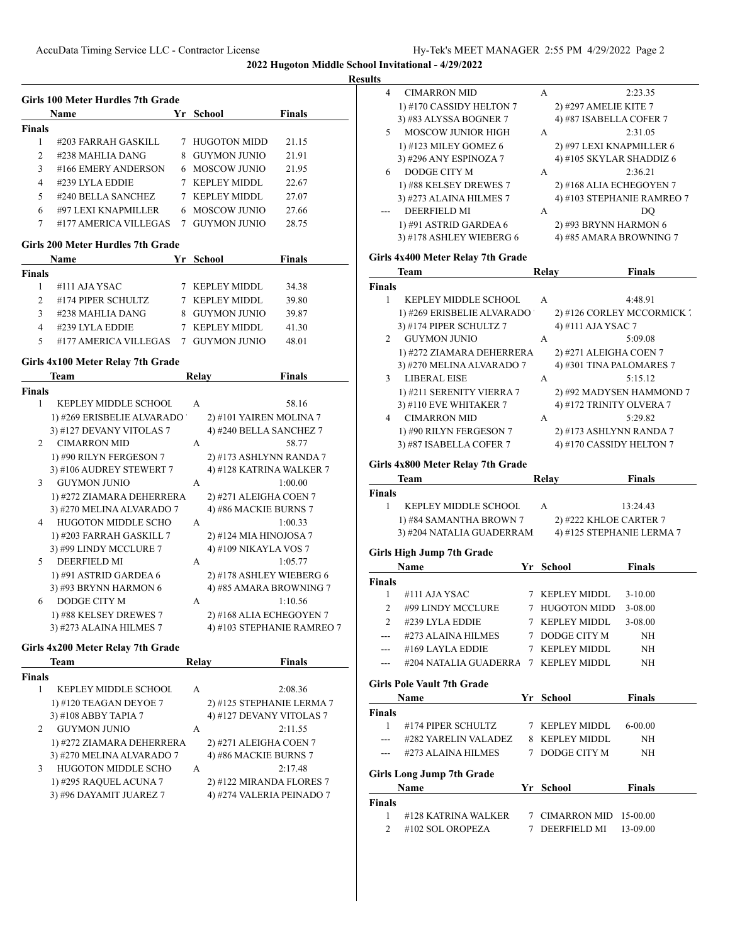| I<br>۰ |
|--------|
|--------|

| <b>Finals</b><br>1<br>2 | Name<br>#203 FARRAH GASKILL               | Yr School                    | <b>Finals</b>             |
|-------------------------|-------------------------------------------|------------------------------|---------------------------|
|                         |                                           |                              |                           |
|                         |                                           |                              |                           |
|                         |                                           | 7 HUGOTON MIDD               | 21.15                     |
|                         | #238 MAHLIA DANG                          | 8 GUYMON JUNIO               | 21.91                     |
| 3                       | #166 EMERY ANDERSON                       | 6 MOSCOW JUNIO               | 21.95                     |
| 4                       | #239 LYLA EDDIE                           | 7 KEPLEY MIDDL               | 22.67                     |
| 5                       | #240 BELLA SANCHEZ                        | 7 KEPLEY MIDDL               | 27.07                     |
| 6                       | #97 LEXI KNAPMILLER                       | 6 MOSCOW JUNIO               | 27.66                     |
| 7                       | #177 AMERICA VILLEGAS                     | 7 GUYMON JUNIO               | 28.75                     |
|                         | Girls 200 Meter Hurdles 7th Grade         |                              |                           |
|                         | Name                                      | Yr School                    | Finals                    |
| <b>Finals</b><br>1      |                                           |                              |                           |
|                         | #111 AJA YSAC                             | 7 KEPLEY MIDDL               | 34.38                     |
| 2                       | #174 PIPER SCHULTZ                        | 7 KEPLEY MIDDL               | 39.80                     |
| 3                       | #238 MAHLIA DANG                          | 8 GUYMON JUNIO               | 39.87                     |
| 4                       | #239 LYLA EDDIE                           | 7 KEPLEY MIDDL               | 41.30                     |
| 5                       | #177 AMERICA VILLEGAS 7 GUYMON JUNIO      |                              | 48.01                     |
|                         | Girls 4x100 Meter Relay 7th Grade         |                              |                           |
|                         | Team                                      | Relay                        | <b>Finals</b>             |
| <b>Finals</b>           |                                           |                              |                           |
| 1                       | <b>KEPLEY MIDDLE SCHOOL</b>               | A                            | 58.16                     |
|                         | 1) #269 ERISBELIE ALVARADO                | 2) #101 YAIREN MOLINA 7      |                           |
|                         | 3) #127 DEVANY VITOLAS 7                  | 4) #240 BELLA SANCHEZ 7      |                           |
| 2                       | CIMARRON MID                              | А                            | 58.77                     |
|                         | 1) #90 RILYN FERGESON 7                   | 2) #173 ASHLYNN RANDA 7      |                           |
|                         | 3) #106 AUDREY STEWERT 7                  | 4) #128 KATRINA WALKER 7     |                           |
| 3                       | GUYMON JUNIO                              | А                            | 1:00.00                   |
|                         | 1) #272 ZIAMARA DEHERRERA                 | 2) #271 ALEIGHA COEN 7       |                           |
|                         | 3) #270 MELINA ALVARADO 7                 | 4) #86 MACKIE BURNS 7        |                           |
| 4                       | <b>HUGOTON MIDDLE SCHO</b>                | A                            | 1:00.33                   |
|                         | 1) #203 FARRAH GASKILL 7                  | 2) #124 MIA HINOJOSA 7       |                           |
|                         | 3) #99 LINDY MCCLURE 7                    | 4) #109 NIKAYLA VOS 7        |                           |
| 5                       | DEERFIELD MI                              | A                            | 1:05.77                   |
|                         | 1) #91 ASTRID GARDEA $6$                  | 2) #178 ASHLEY WIEBERG 6     |                           |
|                         | 3) #93 BRYNN HARMON 6<br>DODGE CITY M     | 4) #85 AMARA BROWNING 7<br>А | 1:10.56                   |
| 6                       |                                           |                              |                           |
|                         | 1) #88 KELSEY DREWES 7                    | 2) #168 ALIA ECHEGOYEN 7     |                           |
|                         | 3) #273 ALAINA HILMES 7                   | 4) #103 STEPHANIE RAMREO 7   |                           |
|                         | Girls 4x200 Meter Relay 7th Grade<br>Team | Relay                        | <b>Finals</b>             |
| <b>Finals</b>           |                                           |                              |                           |
| 1                       | KEPLEY MIDDLE SCHOOL                      | А                            | 2:08.36                   |
|                         | 1) #120 TEAGAN DEYOE 7                    | 2) #125 STEPHANIE LERMA 7    |                           |
|                         | 3) #108 ABBY TAPIA 7                      | 4) #127 DEVANY VITOLAS 7     |                           |
| 2                       | <b>GUYMON JUNIO</b>                       | А                            | 2:11.55                   |
|                         | 1) #272 ZIAMARA DEHERRERA                 | 2) #271 ALEIGHA COEN 7       |                           |
|                         | 3) #270 MELINA ALVARADO 7                 | 4) #86 MACKIE BURNS 7        |                           |
| 3                       | <b>HUGOTON MIDDLE SCHO</b>                | A                            | 2:17.48                   |
|                         | 1) #295 RAQUEL ACUNA 7                    | 2) #122 MIRANDA FLORES 7     |                           |
|                         | 3) #96 DAYAMIT JUAREZ 7                   |                              | 4) #274 VALERIA PEINADO 7 |

| . |                                   |              |                            |
|---|-----------------------------------|--------------|----------------------------|
| 4 | <b>CIMARRON MID</b>               | A            | 2:23.35                    |
|   | 1) #170 CASSIDY HELTON 7          |              | 2) #297 AMELIE KITE 7      |
|   | 3) #83 ALYSSA BOGNER 7            |              | 4) #87 ISABELLA COFER 7    |
| 5 | <b>MOSCOW JUNIOR HIGH</b>         | $\mathsf{A}$ | 2:31.05                    |
|   | 1) #123 MILEY GOMEZ 6             |              | 2) #97 LEXI KNAPMILLER 6   |
|   | 3) #296 ANY ESPINOZA 7            |              | 4) #105 SKYLAR SHADDIZ 6   |
| 6 | <b>DODGE CITY M</b>               | A            | 2:36.21                    |
|   | 1) #88 KELSEY DREWES 7            |              | 2) #168 ALIA ECHEGOYEN 7   |
|   | 3) #273 ALAINA HILMES 7           |              | 4) #103 STEPHANIE RAMREO 7 |
|   | DEERFIELD MI                      | A            | DO                         |
|   | 1) #91 ASTRID GARDEA 6            |              | 2) #93 BRYNN HARMON 6      |
|   | 3) #178 ASHLEY WIEBERG 6          |              | 4) #85 AMARA BROWNING 7    |
|   | Girls 4x400 Meter Relay 7th Grade |              |                            |
|   | <b>Team</b>                       | Relav        | <b>Finals</b>              |

|                | теаш                              | меіау | т шаім                        |
|----------------|-----------------------------------|-------|-------------------------------|
| <b>Finals</b>  |                                   |       |                               |
|                | <b>KEPLEY MIDDLE SCHOOL</b>       | A     | 4:48.91                       |
|                | 1) #269 ERISBELIE ALVARADO        |       | 2) #126 CORLEY MCCORMICK      |
|                | 3) #174 PIPER SCHULTZ 7           |       | 4) #111 AJA YSAC 7            |
| $\mathfrak{D}$ | <b>GUYMON JUNIO</b>               | A     | 5:09.08                       |
|                | 1) #272 ZIAMARA DEHERRERA         |       | 2) #271 ALEIGHA COEN 7        |
|                | 3) #270 MELINA ALVARADO 7         |       | 4) #301 TINA PALOMARES 7      |
| 3              | <b>LIBERAL EISE</b>               | A     | 5:15.12                       |
|                | 1) #211 SERENITY VIERRA 7         |       | 2) #92 MADYSEN HAMMOND 7      |
|                | 3) #110 EVE WHITAKER 7            |       | 4) #172 TRINITY OLVERA 7      |
| 4              | <b>CIMARRON MID</b>               | A     | 5:29.82                       |
|                | 1) #90 RILYN FERGESON 7           |       | 2) #173 ASHLYNN RANDA 7       |
|                | 3) #87 ISABELLA COFER 7           |       | 4) #170 CASSIDY HELTON 7      |
|                | Girls 4x800 Meter Relay 7th Grade |       |                               |
|                | $\mathbf{T}$                      | D.L.  | $\mathbf{E}$ and $\mathbf{E}$ |

|               | Team                        | Relav | <b>Finals</b>             |
|---------------|-----------------------------|-------|---------------------------|
| <b>Finals</b> |                             |       |                           |
|               | <b>KEPLEY MIDDLE SCHOOL</b> | A     | 13:24.43                  |
|               | 1) #84 SAMANTHA BROWN 7     |       | 2) #222 KHLOE CARTER 7    |
|               | 3) #204 NATALIA GUADERRAM   |       | 4) #125 STEPHANIE LERMA 7 |
|               | ----                        |       |                           |

# **Girls High Jump 7th Grade**

|               | Name                    | Yr. | School                 | <b>Finals</b> |  |
|---------------|-------------------------|-----|------------------------|---------------|--|
| <b>Finals</b> |                         |     |                        |               |  |
|               | $#111$ AJA YSAC         |     | 7 KEPLEY MIDDL 3-10.00 |               |  |
| $\mathcal{D}$ | #99 LINDY MCCLURE       |     | 7 HUGOTON MIDD         | 3-08.00       |  |
| $\mathcal{D}$ | #239 LYLA EDDIE         |     | 7 KEPLEY MIDDL         | 3-08.00       |  |
|               | #273 ALAINA HILMES      |     | 7 DODGE CITY M         | NH            |  |
|               | #169 LAYLA EDDIE        |     | 7 KEPLEY MIDDL         | NH            |  |
|               | #204 NATALIA GUADERRA 7 |     | <b>KEPLEY MIDDL</b>    | NΗ            |  |

#### **Girls Pole Vault 7th Grade**

|               | Name                             |   | Yr School               | <b>Finals</b> |  |
|---------------|----------------------------------|---|-------------------------|---------------|--|
| <b>Finals</b> |                                  |   |                         |               |  |
|               | #174 PIPER SCHULTZ               |   | KEPLEY MIDDL            | 6-00.00       |  |
|               | #282 YARELIN VALADEZ             | 8 | <b>KEPLEY MIDDL</b>     | NH            |  |
|               | #273 ALAINA HILMES               |   | DODGE CITY M            | NH            |  |
|               | <b>Girls Long Jump 7th Grade</b> |   |                         |               |  |
|               | <b>Name</b>                      |   | Yr School               | <b>Finals</b> |  |
| <b>Finals</b> |                                  |   |                         |               |  |
|               | #128 KATRINA WALKER              |   | $CIMARRON MID$ 15-00.00 |               |  |

2 #102 SOL OROPEZA 7 DEERFIELD MI 13-09.00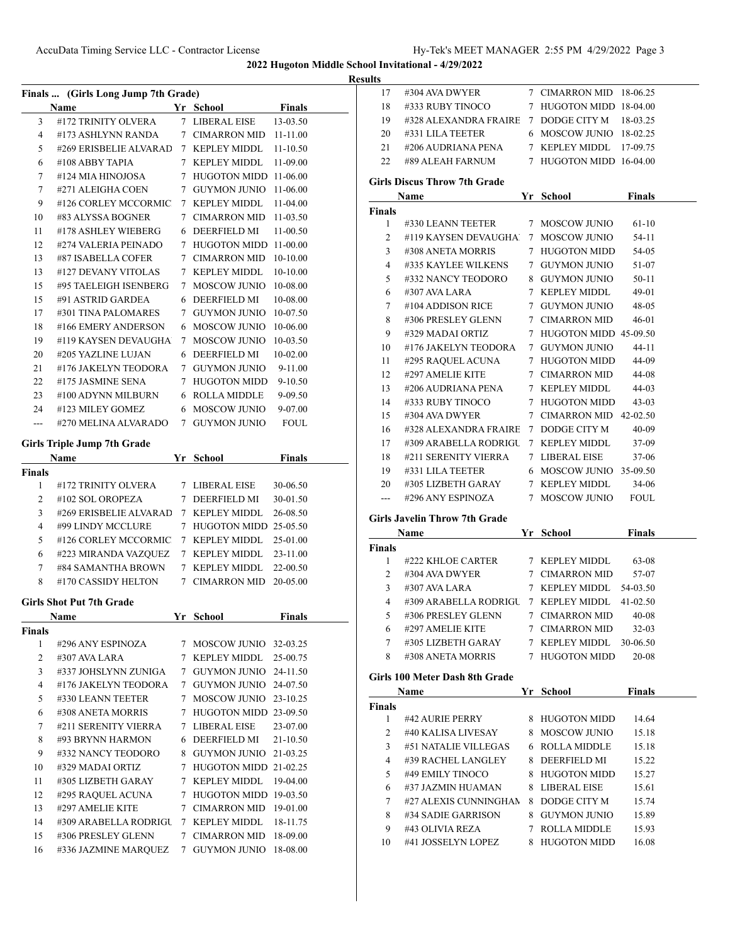|                | Finals  (Girls Long Jump 7th Grade)         |             |                                           |               |  |
|----------------|---------------------------------------------|-------------|-------------------------------------------|---------------|--|
|                | <b>Name</b>                                 |             | Yr School                                 | <b>Finals</b> |  |
| 3              | #172 TRINITY OLVERA                         |             | 7 LIBERAL EISE                            | 13-03.50      |  |
| 4              | #173 ASHLYNN RANDA                          |             | 7 CIMARRON MID 11-11.00                   |               |  |
| 5              | #269 ERISBELIE ALVARAD                      |             | 7 KEPLEY MIDDL                            | $11 - 10.50$  |  |
| 6              | #108 ABBY TAPIA                             |             | 7 KEPLEY MIDDL                            | 11-09.00      |  |
| 7              | #124 MIA HINOJOSA                           |             | 7 HUGOTON MIDD 11-06.00                   |               |  |
| 7              | #271 ALEIGHA COEN                           |             | 7 GUYMON JUNIO 11-06.00                   |               |  |
| 9              | #126 CORLEY MCCORMIC                        |             | 7 KEPLEY MIDDL                            | 11-04.00      |  |
| 10             | #83 ALYSSA BOGNER                           |             | 7 CIMARRON MID 11-03.50                   |               |  |
| 11             | #178 ASHLEY WIEBERG                         |             | 6 DEERFIELD MI                            | 11-00.50      |  |
| 12             | #274 VALERIA PEINADO                        |             | 7 HUGOTON MIDD 11-00.00                   |               |  |
| 13             | #87 ISABELLA COFER                          |             | 7 CIMARRON MID 10-10.00                   |               |  |
| 13             | #127 DEVANY VITOLAS                         |             | 7 KEPLEY MIDDL                            | 10-10.00      |  |
| 15             | #95 TAELEIGH ISENBERG                       |             | 7 MOSCOW JUNIO 10-08.00                   |               |  |
| 15             | #91 ASTRID GARDEA                           |             | 6 DEERFIELD MI                            | 10-08.00      |  |
| 17             | #301 TINA PALOMARES                         |             | 7 GUYMON JUNIO 10-07.50                   |               |  |
| 18             | #166 EMERY ANDERSON                         |             | 6 MOSCOW JUNIO                            | 10-06.00      |  |
| 19             | #119 KAYSEN DEVAUGHA                        | $7^{\circ}$ | <b>MOSCOW JUNIO</b>                       | $10-03.50$    |  |
| 20             | #205 YAZLINE LUJAN                          |             | 6 DEERFIELD MI                            | 10-02.00      |  |
| 21             | #176 JAKELYN TEODORA                        |             | 7 GUYMON JUNIO                            | 9-11.00       |  |
| 22             | #175 JASMINE SENA                           |             | 7 HUGOTON MIDD                            | $9 - 10.50$   |  |
| 23             | #100 ADYNN MILBURN                          |             | 6 ROLLA MIDDLE                            | 9-09.50       |  |
| 24             | #123 MILEY GOMEZ                            |             | 6 MOSCOW JUNIO                            | 9-07.00       |  |
| ---            | #270 MELINA ALVARADO                        |             | 7 GUYMON JUNIO                            | <b>FOUL</b>   |  |
|                |                                             |             |                                           |               |  |
|                | <b>Girls Triple Jump 7th Grade</b>          |             |                                           |               |  |
|                | Name                                        |             | Yr School                                 | <b>Finals</b> |  |
| <b>Finals</b>  |                                             |             |                                           |               |  |
| $\mathbf{1}$   | #172 TRINITY OLVERA                         |             | 7 LIBERAL EISE                            | 30-06.50      |  |
| $\overline{2}$ | #102 SOL OROPEZA                            |             | 7 DEERFIELD MI                            | 30-01.50      |  |
| 3              | #269 ERISBELIE ALVARAD                      |             | 7 KEPLEY MIDDL                            | 26-08.50      |  |
| 4              | #99 LINDY MCCLURE                           |             | 7 HUGOTON MIDD 25-05.50                   |               |  |
| 5              | #126 CORLEY MCCORMIC 7 KEPLEY MIDDL         |             |                                           | 25-01.00      |  |
| 6              | #223 MIRANDA VAZQUEZ                        |             | 7 KEPLEY MIDDL                            | 23-11.00      |  |
| 7              | #84 SAMANTHA BROWN                          |             | 7 KEPLEY MIDDL                            | 22-00.50      |  |
| 8              | #170 CASSIDY HELTON                         |             | 7 CIMARRON MID 20-05.00                   |               |  |
|                | <b>Girls Shot Put 7th Grade</b>             |             |                                           |               |  |
|                | Name                                        |             | Yr School                                 | Finals        |  |
| <b>Finals</b>  |                                             |             |                                           |               |  |
| $\mathbf{1}$   | #296 ANY ESPINOZA                           |             | 7 MOSCOW JUNIO 32-03.25                   |               |  |
| $\overline{c}$ | #307 AVA LARA                               |             | 7 KEPLEY MIDDL                            | 25-00.75      |  |
| 3              | #337 JOHSLYNN ZUNIGA                        |             | 7 GUYMON JUNIO 24-11.50                   |               |  |
| 4              | #176 JAKELYN TEODORA                        |             | 7 GUYMON JUNIO 24-07.50                   |               |  |
| 5              | #330 LEANN TEETER                           | $7^{\circ}$ | MOSCOW JUNIO 23-10.25                     |               |  |
| 6              | #308 ANETA MORRIS                           |             | 7 HUGOTON MIDD 23-09.50                   |               |  |
| 7              | #211 SERENITY VIERRA                        |             | 7 LIBERAL EISE                            | 23-07.00      |  |
| 8              | #93 BRYNN HARMON                            |             | 6 DEERFIELD MI                            | 21-10.50      |  |
| 9              | #332 NANCY TEODORO                          |             | 8 GUYMON JUNIO 21-03.25                   |               |  |
| 10             | #329 MADAI ORTIZ                            |             | 7 HUGOTON MIDD 21-02.25                   |               |  |
| 11             | #305 LIZBETH GARAY                          |             | 7 KEPLEY MIDDL                            | 19-04.00      |  |
| 12             | #295 RAQUEL ACUNA                           |             | 7 HUGOTON MIDD 19-03.50                   |               |  |
|                | #297 AMELIE KITE                            |             | 7 CIMARRON MID 19-01.00                   |               |  |
|                |                                             |             |                                           |               |  |
| 13             |                                             |             |                                           |               |  |
| 14<br>15       | #309 ARABELLA RODRIGU<br>#306 PRESLEY GLENN |             | 7 KEPLEY MIDDL<br>7 CIMARRON MID 18-09.00 | 18-11.75      |  |

| 17             | #304 AVA DWYER                          | 7 CIMARRON MID 18-06.25          |                |  |
|----------------|-----------------------------------------|----------------------------------|----------------|--|
| 18             | #333 RUBY TINOCO                        | 7 HUGOTON MIDD 18-04.00          |                |  |
|                | 19 #328 ALEXANDRA FRAIRE 7 DODGE CITY M |                                  | 18-03.25       |  |
|                | 20 #331 LILA TEETER                     | 6 MOSCOW JUNIO 18-02.25          |                |  |
|                | 21 #206 AUDRIANA PENA                   | 7 KEPLEY MIDDL                   | 17-09.75       |  |
| 22             | #89 ALEAH FARNUM                        | 7 HUGOTON MIDD 16-04.00          |                |  |
|                |                                         |                                  |                |  |
|                | <b>Girls Discus Throw 7th Grade</b>     |                                  |                |  |
|                | Name                                    | Yr School                        | <b>Finals</b>  |  |
| <b>Finals</b>  |                                         |                                  |                |  |
| 1              | #330 LEANN TEETER                       | 7 MOSCOW JUNIO                   | $61-10$        |  |
| 2              | #119 KAYSEN DEVAUGHA 7 MOSCOW JUNIO     |                                  | 54-11          |  |
| 3              | #308 ANETA MORRIS                       | 7 HUGOTON MIDD                   | 54-05          |  |
| 4              | #335 KAYLEE WILKENS                     | 7 GUYMON JUNIO                   | 51-07          |  |
| 5              | #332 NANCY TEODORO                      | 8 GUYMON JUNIO                   | 50-11          |  |
| 6              | #307 AVA LARA                           | 7 KEPLEY MIDDL                   | 49-01          |  |
| 7              | #104 ADDISON RICE                       | 7 GUYMON JUNIO                   | 48-05          |  |
| 8              | #306 PRESLEY GLENN                      | 7 CIMARRON MID                   | 46-01          |  |
| 9              | #329 MADAI ORTIZ                        | 7 HUGOTON MIDD 45-09.50          |                |  |
| 10             | #176 JAKELYN TEODORA 7 GUYMON JUNIO     |                                  | 44-11          |  |
| 11             | #295 RAQUEL ACUNA                       | 7 HUGOTON MIDD                   | 44-09          |  |
| 12             | #297 AMELIE KITE                        | 7 CIMARRON MID                   | 44-08          |  |
| 13             | #206 AUDRIANA PENA                      | 7 KEPLEY MIDDL                   | 44-03          |  |
| 14             | #333 RUBY TINOCO                        | 7 HUGOTON MIDD                   | 43-03          |  |
|                | #304 AVA DWYER                          | 7 CIMARRON MID 42-02.50          |                |  |
| 15             |                                         |                                  |                |  |
| 16             | #328 ALEXANDRA FRAIRE 7 DODGE CITY M    |                                  | 40-09          |  |
| 17             | #309 ARABELLA RODRIGU                   | 7 KEPLEY MIDDL                   | 37-09          |  |
| 18             | #211 SERENITY VIERRA                    | 7 LIBERAL EISE                   | 37-06          |  |
| 19             | #331 LILA TEETER                        | 6 MOSCOW JUNIO 35-09.50          |                |  |
| 20             | #305 LIZBETH GARAY                      | 7 KEPLEY MIDDL                   | 34-06          |  |
|                |                                         |                                  |                |  |
| $---$          | #296 ANY ESPINOZA                       | 7 MOSCOW JUNIO                   | <b>FOUL</b>    |  |
|                | <b>Girls Javelin Throw 7th Grade</b>    |                                  |                |  |
|                |                                         |                                  |                |  |
|                | Name                                    | Yr School                        | <b>Finals</b>  |  |
| Finals         |                                         |                                  |                |  |
| 1              | #222 KHLOE CARTER                       | 7 KEPLEY MIDDL                   | 63-08          |  |
| 2              | #304 AVA DWYER                          | 7 CIMARRON MID                   | 57-07          |  |
| 3              | #307 AVA LARA                           | 7 KEPLEY MIDDL                   | 54-03.50       |  |
| 4              | #309 ARABELLA RODRIGU 7 KEPLEY MIDDL    |                                  | 41-02.50       |  |
| 5 <sup>1</sup> | #306 PRESLEY GLENN 7 CIMARRON MID 40-08 |                                  |                |  |
| 6              | #297 AMELIE KITE                        | 7 CIMARRON MID                   | $32-03$        |  |
| 7              | #305 LIZBETH GARAY                      | 7 KEPLEY MIDDL                   | 30-06.50       |  |
| 8              | #308 ANETA MORRIS                       | 7 HUGOTON MIDD                   | 20-08          |  |
|                | Girls 100 Meter Dash 8th Grade          |                                  |                |  |
|                | Name                                    | Yr School                        | <b>Finals</b>  |  |
| Finals         |                                         |                                  |                |  |
| 1              | #42 AURIE PERRY                         | 8 HUGOTON MIDD                   | 14.64          |  |
| 2              | #40 KALISA LIVESAY                      | 8 MOSCOW JUNIO                   | 15.18          |  |
| 3              | #51 NATALIE VILLEGAS                    | 6 ROLLA MIDDLE                   | 15.18          |  |
| 4              | #39 RACHEL LANGLEY                      | 8 DEERFIELD MI                   | 15.22          |  |
|                |                                         |                                  |                |  |
| 5              | #49 EMILY TINOCO                        | 8 HUGOTON MIDD                   | 15.27          |  |
| 6              | #37 JAZMIN HUAMAN                       | 8 LIBERAL EISE                   | 15.61          |  |
| 7              | #27 ALEXIS CUNNINGHAN                   | 8 DODGE CITY M                   | 15.74          |  |
| 8              | #34 SADIE GARRISON                      | 8 GUYMON JUNIO                   | 15.89          |  |
| 9.<br>10       | #43 OLIVIA REZA<br>#41 JOSSELYN LOPEZ   | 7 ROLLA MIDDLE<br>8 HUGOTON MIDD | 15.93<br>16.08 |  |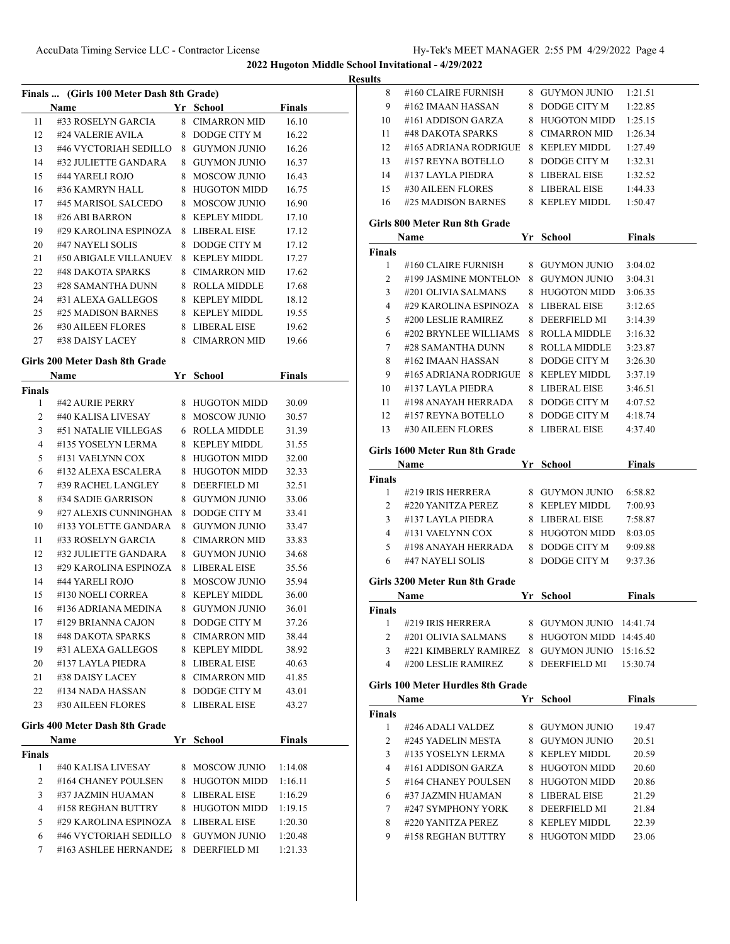| Results |
|---------|
|---------|

| Finals  (Girls 100 Meter Dash 8th Grade) |                                |   |                     |               |  |
|------------------------------------------|--------------------------------|---|---------------------|---------------|--|
|                                          | Name                           |   | Yr School           | <b>Finals</b> |  |
| 11                                       | #33 ROSELYN GARCIA             |   | 8 CIMARRON MID      | 16.10         |  |
| 12                                       | #24 VALERIE AVILA              |   | 8 DODGE CITY M      | 16.22         |  |
| 13                                       | #46 VYCTORIAH SEDILLO          |   | 8 GUYMON JUNIO      | 16.26         |  |
| 14                                       | #32 JULIETTE GANDARA           |   | 8 GUYMON JUNIO      | 16.37         |  |
| 15                                       | #44 YARELI ROJO                |   | 8 MOSCOW JUNIO      | 16.43         |  |
| 16                                       | #36 KAMRYN HALL                |   | 8 HUGOTON MIDD      | 16.75         |  |
| 17                                       | #45 MARISOL SALCEDO            |   | 8 MOSCOW JUNIO      | 16.90         |  |
| 18                                       | #26 ABI BARRON                 |   | 8 KEPLEY MIDDL      | 17.10         |  |
| 19                                       | #29 KAROLINA ESPINOZA          |   | 8 LIBERAL EISE      | 17.12         |  |
| 20                                       | #47 NAYELI SOLIS               |   | 8 DODGE CITY M      | 17.12         |  |
| 21                                       | #50 ABIGALE VILLANUEV          |   | 8 KEPLEY MIDDL      | 17.27         |  |
| 22                                       | #48 DAKOTA SPARKS              |   | 8 CIMARRON MID      | 17.62         |  |
| 23                                       | #28 SAMANTHA DUNN              |   | 8 ROLLA MIDDLE      | 17.68         |  |
| 24                                       | #31 ALEXA GALLEGOS             |   | 8 KEPLEY MIDDL      | 18.12         |  |
| 25                                       | #25 MADISON BARNES             |   | 8 KEPLEY MIDDL      | 19.55         |  |
| 26                                       | #30 AILEEN FLORES              |   | 8 LIBERAL EISE      | 19.62         |  |
| 27                                       | #38 DAISY LACEY                |   | 8 CIMARRON MID      | 19.66         |  |
|                                          |                                |   |                     |               |  |
|                                          | Girls 200 Meter Dash 8th Grade |   |                     |               |  |
|                                          | <b>Name</b>                    |   | Yr School           | <b>Finals</b> |  |
| Finals                                   |                                |   |                     |               |  |
| 1                                        | #42 AURIE PERRY                |   | 8 HUGOTON MIDD      | 30.09         |  |
| $\overline{2}$                           | #40 KALISA LIVESAY             |   | 8 MOSCOW JUNIO      | 30.57         |  |
| 3                                        | #51 NATALIE VILLEGAS           |   | 6 ROLLA MIDDLE      | 31.39         |  |
| 4                                        | #135 YOSELYN LERMA             |   | 8 KEPLEY MIDDL      | 31.55         |  |
| 5                                        | #131 VAELYNN COX               |   | 8 HUGOTON MIDD      | 32.00         |  |
| 6                                        | #132 ALEXA ESCALERA            |   | 8 HUGOTON MIDD      | 32.33         |  |
| 7                                        | #39 RACHEL LANGLEY             |   | 8 DEERFIELD MI      | 32.51         |  |
| 8                                        | #34 SADIE GARRISON             |   | 8 GUYMON JUNIO      | 33.06         |  |
| 9                                        | #27 ALEXIS CUNNINGHAN          | 8 | DODGE CITY M        | 33.41         |  |
| 10                                       | #133 YOLETTE GANDARA           |   | 8 GUYMON JUNIO      | 33.47         |  |
| 11                                       | #33 ROSELYN GARCIA             |   | 8 CIMARRON MID      | 33.83         |  |
| 12                                       | #32 JULIETTE GANDARA           |   | 8 GUYMON JUNIO      | 34.68         |  |
| 13                                       | #29 KAROLINA ESPINOZA          |   | 8 LIBERAL EISE      | 35.56         |  |
| 14                                       | #44 YARELI ROJO                |   | 8 MOSCOW JUNIO      | 35.94         |  |
| 15                                       | #130 NOELI CORREA              |   | 8 KEPLEY MIDDL      | 36.00         |  |
| 16                                       | #136 ADRIANA MEDINA            | 8 | <b>GUYMON JUNIO</b> | 36.01         |  |
| 17                                       | #129 BRIANNA CAJON             |   | 8 DODGE CITY M      | 37.26         |  |
| 18                                       | #48 DAKOTA SPARKS              |   | 8 CIMARRON MID      | 38.44         |  |
| 19                                       | #31 ALEXA GALLEGOS             |   | 8 KEPLEY MIDDL      | 38.92         |  |
| 20                                       | #137 LAYLA PIEDRA              |   | 8 LIBERAL EISE      | 40.63         |  |
| 21                                       | #38 DAISY LACEY                |   | 8 CIMARRON MID      | 41.85         |  |
| 22                                       | #134 NADA HASSAN               |   | 8 DODGE CITY M      | 43.01         |  |
| 23                                       | #30 AILEEN FLORES              |   | 8 LIBERAL EISE      | 43.27         |  |
|                                          | Girls 400 Meter Dash 8th Grade |   |                     |               |  |
|                                          | Name                           |   | Yr School           | <b>Finals</b> |  |
| Finals                                   |                                |   |                     |               |  |
| 1                                        | #40 KALISA LIVESAY             |   | 8 MOSCOW JUNIO      | 1:14.08       |  |
| 2                                        | #164 CHANEY POULSEN            |   | 8 HUGOTON MIDD      | 1:16.11       |  |
| 3                                        | #37 JAZMIN HUAMAN              |   | 8 LIBERAL EISE      | 1:16.29       |  |
| 4                                        | #158 REGHAN BUTTRY             |   | 8 HUGOTON MIDD      | 1:19.15       |  |
| 5                                        | #29 KAROLINA ESPINOZA          |   | 8 LIBERAL EISE      | 1:20.30       |  |
| 6                                        | #46 VYCTORIAH SEDILLO          |   | 8 GUYMON JUNIO      | 1:20.48       |  |
| 7                                        | #163 ASHLEE HERNANDE           |   | 8 DEERFIELD MI      | 1:21.33       |  |
|                                          |                                |   |                     |               |  |
|                                          |                                |   |                     |               |  |

| 8              | #160 CLAIRE FURNISH                          | 8 GUYMON JUNIO                   | 1:21.51            |  |
|----------------|----------------------------------------------|----------------------------------|--------------------|--|
| 9              | #162 IMAAN HASSAN                            | 8 DODGE CITY M                   | 1:22.85            |  |
| 10             | #161 ADDISON GARZA                           | 8 HUGOTON MIDD                   | 1:25.15            |  |
| 11             | #48 DAKOTA SPARKS                            | 8 CIMARRON MID                   | 1:26.34            |  |
| 12             | #165 ADRIANA RODRIGUE                        | 8 KEPLEY MIDDL                   | 1:27.49            |  |
| 13             | #157 REYNA BOTELLO                           | 8 DODGE CITY M                   | 1:32.31            |  |
|                | 14 #137 LAYLA PIEDRA                         | 8 LIBERAL EISE                   | 1:32.52            |  |
|                | 15 #30 AILEEN FLORES                         | 8 LIBERAL EISE                   | 1:44.33            |  |
| 16             | #25 MADISON BARNES                           | 8 KEPLEY MIDDL                   | 1:50.47            |  |
|                | Girls 800 Meter Run 8th Grade<br><b>Name</b> | Yr School                        | <b>Finals</b>      |  |
| Finals         |                                              |                                  |                    |  |
| 1              | #160 CLAIRE FURNISH                          | 8 GUYMON JUNIO                   | 3:04.02            |  |
| 2              | #199 JASMINE MONTELON                        | 8 GUYMON JUNIO                   | 3:04.31            |  |
| 3              | #201 OLIVIA SALMANS                          | 8 HUGOTON MIDD                   | 3:06.35            |  |
| 4              | #29 KAROLINA ESPINOZA                        | 8 LIBERAL EISE                   | 3:12.65            |  |
| 5              | #200 LESLIE RAMIREZ                          | 8 DEERFIELD MI                   | 3:14.39            |  |
| 6              | #202 BRYNLEE WILLIAMS                        | 8 ROLLA MIDDLE                   | 3:16.32            |  |
| 7              | #28 SAMANTHA DUNN                            | 8 ROLLA MIDDLE                   | 3:23.87            |  |
| 8              | #162 IMAAN HASSAN                            | 8 DODGE CITY M                   | 3:26.30            |  |
| 9              | #165 ADRIANA RODRIGUE 8 KEPLEY MIDDL         |                                  | 3:37.19            |  |
| 10             | #137 LAYLA PIEDRA                            | 8 LIBERAL EISE                   | 3:46.51            |  |
|                | 11 #198 ANAYAH HERRADA 8 DODGE CITY M        |                                  | 4:07.52            |  |
|                | 12 #157 REYNA BOTELLO                        | 8 DODGE CITY M                   | 4:18.74            |  |
|                | 13 #30 AILEEN FLORES                         | 8 LIBERAL EISE                   | 4:37.40            |  |
|                |                                              |                                  |                    |  |
|                | Girls 1600 Meter Run 8th Grade               |                                  |                    |  |
|                | Name                                         | Yr School                        | <b>Finals</b>      |  |
| Finals         |                                              |                                  |                    |  |
| $\mathbf{1}$   | #219 IRIS HERRERA<br>#220 YANITZA PEREZ      | 8 GUYMON JUNIO<br>8 KEPLEY MIDDL | 6:58.82            |  |
| 2              |                                              |                                  | 7:00.93            |  |
| 3<br>4         | #137 LAYLA PIEDRA                            | 8 LIBERAL EISE                   | 7:58.87            |  |
|                | #131 VAELYNN COX<br>5 #198 ANAYAH HERRADA    | 8 HUGOTON MIDD<br>8 DODGE CITY M | 8:03.05            |  |
| 6              |                                              |                                  | 9:09.88<br>9:37.36 |  |
|                | #47 NAYELI SOLIS                             | 8 DODGE CITY M                   |                    |  |
|                | Girls 3200 Meter Run 8th Grade               |                                  |                    |  |
|                | <b>Name</b>                                  | Yr School                        | <b>Finals</b>      |  |
| Finals         |                                              |                                  |                    |  |
| 1              | #219 IRIS HERRERA                            | 8 GUYMON JUNIO 14:41.74          |                    |  |
| 2              | #201 OLIVIA SALMANS                          | 8 HUGOTON MIDD 14:45.40          |                    |  |
| 3              | #221 KIMBERLY RAMIREZ                        | 8 GUYMON JUNIO 15:16.52          |                    |  |
| 4              | #200 LESLIE RAMIREZ                          | 8 DEERFIELD MI                   | 15:30.74           |  |
|                | Girls 100 Meter Hurdles 8th Grade            |                                  |                    |  |
|                | Name                                         |                                  | <b>Finals</b>      |  |
| Finals         |                                              |                                  |                    |  |
| $\mathbf{1}$   | #246 ADALI VALDEZ                            | 8 GUYMON JUNIO                   | 19.47              |  |
| $\overline{c}$ | #245 YADELIN MESTA                           | 8 GUYMON JUNIO                   | 20.51              |  |
| 3              | #135 YOSELYN LERMA                           | 8 KEPLEY MIDDL                   | 20.59              |  |
| 4              | #161 ADDISON GARZA                           | 8 HUGOTON MIDD                   | 20.60              |  |
| 5              | #164 CHANEY POULSEN                          | 8 HUGOTON MIDD                   | 20.86              |  |
| 6              | #37 JAZMIN HUAMAN                            | 8 LIBERAL EISE                   | 21.29              |  |
| 7              | #247 SYMPHONY YORK                           | 8 DEERFIELD MI                   | 21.84              |  |
| 8              | #220 YANITZA PEREZ                           | 8 KEPLEY MIDDL                   | 22.39              |  |
| 9              | #158 REGHAN BUTTRY                           | 8 HUGOTON MIDD                   | 23.06              |  |
|                |                                              |                                  |                    |  |
|                |                                              |                                  |                    |  |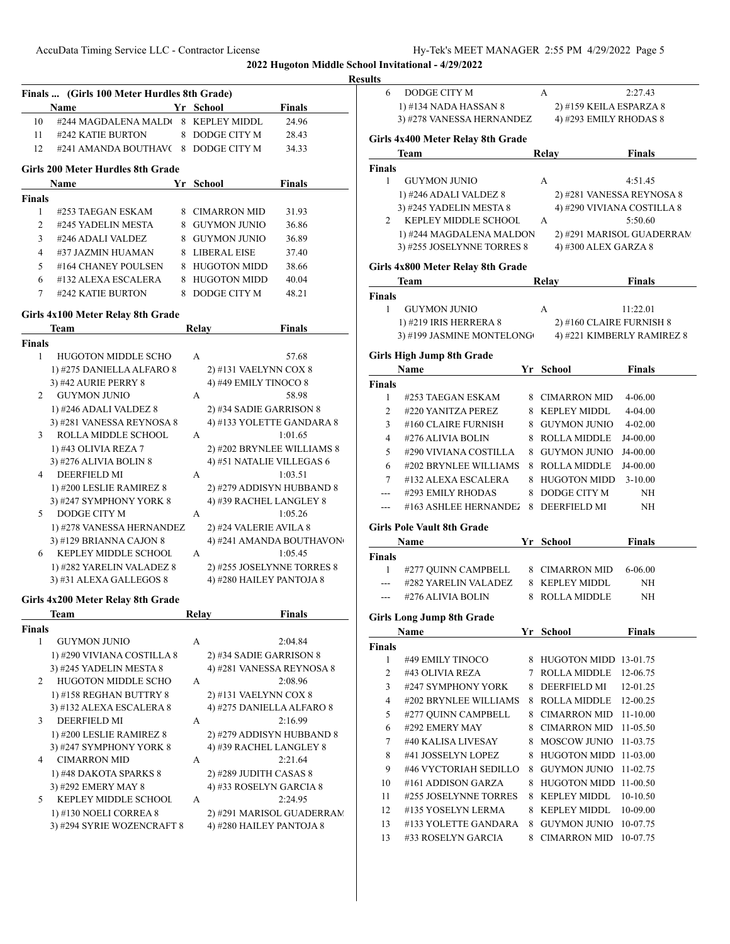### **Resu Finals ... (Girls 100 Meter Hurdles 8th Grade) Name Yr School Finals** 10 #244 MAGDALENA MALDU 8 KEPLEY MIDDL 24.96 11 #242 KATIE BURTON 8 DODGE CITY M 28.43 12 #241 AMANDA BOUTHAV( 8 DODGE CITY M 34.33 **Girls 200 Meter Hurdles 8th Grade Name Yr School Finals Finals** 1 #253 TAEGAN ESKAM 8 CIMARRON MID 31.93 2 #245 YADELIN MESTA 8 GUYMON JUNIO 36.86 3 #246 ADALI VALDEZ 8 GUYMON JUNIO 36.89 4 #37 JAZMIN HUAMAN 8 LIBERAL EISE 37.40 5 #164 CHANEY POULSEN 8 HUGOTON MIDD 38.66 6 #132 ALEXA ESCALERA 8 HUGOTON MIDD 40.04 7 #242 KATIE BURTON 8 DODGE CITY M 48.21 **Girls 4x100 Meter Relay 8th Grade Team Relay Finals Finals** 1 HUGOTON MIDDLE SCHO A 57.68 1) #275 DANIELLA ALFARO 8 2) #131 VAELYNN COX 8 3) #42 AURIE PERRY 8 4) #49 EMILY TINOCO 8 2 GUYMON JUNIO A 58.98 1) #246 ADALI VALDEZ 8 2) #34 SADIE GARRISON 8 3) #281 VANESSA REYNOSA 8 4) #133 YOLETTE GANDARA 8 3 ROLLA MIDDLE SCHOOL A 1:01.65 1) #43 OLIVIA REZA 7 2) #202 BRYNLEE WILLIAMS 8 3) #276 ALIVIA BOLIN 8 4) #51 NATALIE VILLEGAS 6 4 DEERFIELD MI A 1:03.51 1) #200 LESLIE RAMIREZ 8 2) #279 ADDISYN HUBBAND 8 3) #247 SYMPHONY YORK 8 4) #39 RACHEL LANGLEY 8 5 DODGE CITY M A 1:05.26 1) #278 VANESSA HERNANDEZ 2) #24 VALERIE AVILA 8 3)  $\#129$  BRIANNA CAJON 8  $\qquad$  4)  $\#241$  AMANDA BOUTHAVON 6 KEPLEY MIDDLE SCHOOL A 1:05.45 1) #282 YARELIN VALADEZ 8 2) #255 JOSELYNNE TORRES 8 3) #31 ALEXA GALLEGOS 8 4) #280 HAILEY PANTOJA 8 **Girls 4x200 Meter Relay 8th Grade Team Relay Finals Finals** 1 GUYMON JUNIO A 2:04.84 1) #290 VIVIANA COSTILLA 8 2) #34 SADIE GARRISON 8 3) #245 YADELIN MESTA 8 4) #281 VANESSA REYNOSA 8 2 HUGOTON MIDDLE SCHO A 2:08.96 1) #158 REGHAN BUTTRY 8 2) #131 VAELYNN COX 8 3) #132 ALEXA ESCALERA 8 4) #275 DANIELLA ALFARO 8 3 DEERFIELD MI A 2:16.99 1) #200 LESLIE RAMIREZ 8 2) #279 ADDISYN HUBBAND 8 3) #247 SYMPHONY YORK 8 4) #39 RACHEL LANGLEY 8 4 CIMARRON MID A 2:21.64 1) #48 DAKOTA SPARKS 8 2) #289 JUDITH CASAS 8 3) #292 EMERY MAY 8 4) #33 ROSELYN GARCIA 8 5 KEPLEY MIDDLE SCHOOL A 2:24.95 1) #130 NOELI CORREA 8 2) #291 MARISOL GUADERRAM 3) #294 SYRIE WOZENCRAFT 8 4) #280 HAILEY PANTOJA 8 **Finals Finals Finals Finals Finals**

| lts            |                                   |    |                          |                            |
|----------------|-----------------------------------|----|--------------------------|----------------------------|
| 6              | DODGE CITY M                      |    | А                        | 2:27.43                    |
|                | 1) #134 NADA HASSAN 8             |    | 2) #159 KEILA ESPARZA 8  |                            |
|                | 3) #278 VANESSA HERNANDEZ         |    | 4) #293 EMILY RHODAS 8   |                            |
|                | Girls 4x400 Meter Relay 8th Grade |    |                          |                            |
|                | Team                              |    | Relay                    | <b>Finals</b>              |
| Finals         |                                   |    |                          |                            |
| 1              | <b>GUYMON JUNIO</b>               |    | A                        | 4:51.45                    |
|                | 1) #246 ADALI VALDEZ 8            |    |                          | 2) #281 VANESSA REYNOSA 8  |
|                | 3) #245 YADELIN MESTA 8           |    |                          | 4) #290 VIVIANA COSTILLA 8 |
| 2              | KEPLEY MIDDLE SCHOOL              |    | A                        | 5:50.60                    |
|                | 1) #244 MAGDALENA MALDON          |    |                          | 2) #291 MARISOL GUADERRAM  |
|                | 3) #255 JOSELYNNE TORRES 8        |    | 4) #300 ALEX GARZA 8     |                            |
|                | Girls 4x800 Meter Relay 8th Grade |    |                          |                            |
|                | Team                              |    | Relay                    | <b>Finals</b>              |
| Finals<br>1    | <b>GUYMON JUNIO</b>               |    | A                        | 11:22.01                   |
|                | 1) #219 IRIS HERRERA 8            |    | 2) #160 CLAIRE FURNISH 8 |                            |
|                | 3) #199 JASMINE MONTELONG         |    |                          | 4) #221 KIMBERLY RAMIREZ 8 |
|                |                                   |    |                          |                            |
|                | Girls High Jump 8th Grade         |    |                          |                            |
| Finals         | Name                              |    | Yr School                | <b>Finals</b>              |
| 1              | #253 TAEGAN ESKAM                 |    | 8 CIMARRON MID           | 4-06.00                    |
| 2              | #220 YANITZA PEREZ                |    | 8 KEPLEY MIDDL           | 4-04.00                    |
| 3              | #160 CLAIRE FURNISH               |    | 8 GUYMON JUNIO           | 4-02.00                    |
| $\overline{4}$ | #276 ALIVIA BOLIN                 |    | 8 ROLLA MIDDLE           | J4-00.00                   |
| 5              | #290 VIVIANA COSTILLA             |    | 8 GUYMON JUNIO           | J4-00.00                   |
| 6              | #202 BRYNLEE WILLIAMS             |    | 8 ROLLA MIDDLE           | J4-00.00                   |
| 7              | #132 ALEXA ESCALERA               |    | 8 HUGOTON MIDD           | $3-10.00$                  |
| ---            | #293 EMILY RHODAS                 | 8  | DODGE CITY M             | NH                         |
| ---            | #163 ASHLEE HERNANDEZ             |    | 8 DEERFIELD MI           | NH                         |
|                |                                   |    |                          |                            |
|                | Girls Pole Vault 8th Grade        |    |                          |                            |
|                | Name                              |    | Yr School                | <b>Finals</b>              |
| Finals<br>1    | #277 QUINN CAMPBELL               |    | 8 CIMARRON MID           | 6-06.00                    |
| $---$          | #282 YARELIN VALADEZ              |    | 8 KEPLEY MIDDL           | NH                         |
| ---            | #276 ALIVIA BOLIN                 |    | 8 ROLLA MIDDLE           | NH                         |
|                |                                   |    |                          |                            |
|                | <b>Girls Long Jump 8th Grade</b>  |    |                          |                            |
|                | Name                              |    | Yr School                | <b>Finals</b>              |
| Finals<br>1    | #49 EMILY TINOCO                  | 8  | HUGOTON MIDD 13-01.75    |                            |
| $\mathfrak{2}$ | #43 OLIVIA REZA                   | 7  | ROLLA MIDDLE             | 12-06.75                   |
| 3              | #247 SYMPHONY YORK                | 8  | DEERFIELD MI             | 12-01.25                   |
| 4              | #202 BRYNLEE WILLIAMS             | 8  | ROLLA MIDDLE             | 12-00.25                   |
| 5              | #277 QUINN CAMPBELL               | 8. | CIMARRON MID             | 11-10.00                   |
| 6              | #292 EMERY MAY                    | 8  | CIMARRON MID             | 11-05.50                   |
| 7              | #40 KALISA LIVESAY                | 8. | MOSCOW JUNIO             | 11-03.75                   |
| 8              | #41 JOSSELYN LOPEZ                | 8  | HUGOTON MIDD 11-03.00    |                            |
| 9              | #46 VYCTORIAH SEDILLO             | 8  | <b>GUYMON JUNIO</b>      | 11-02.75                   |
|                |                                   |    |                          |                            |
| 10             | #161 ADDISON GARZA                | 8  | HUGOTON MIDD 11-00.50    |                            |
| 11             | #255 JOSELYNNE TORRES             |    | 8 KEPLEY MIDDL           | 10-10.50                   |
| 12             | #135 YOSELYN LERMA                |    | 8 KEPLEY MIDDL           | 10-09.00                   |
| 13             | #133 YOLETTE GANDARA              |    | 8 GUYMON JUNIO           | 10-07.75                   |
| 13             | #33 ROSELYN GARCIA                | 8  | <b>CIMARRON MID</b>      | 10-07.75                   |
|                |                                   |    |                          |                            |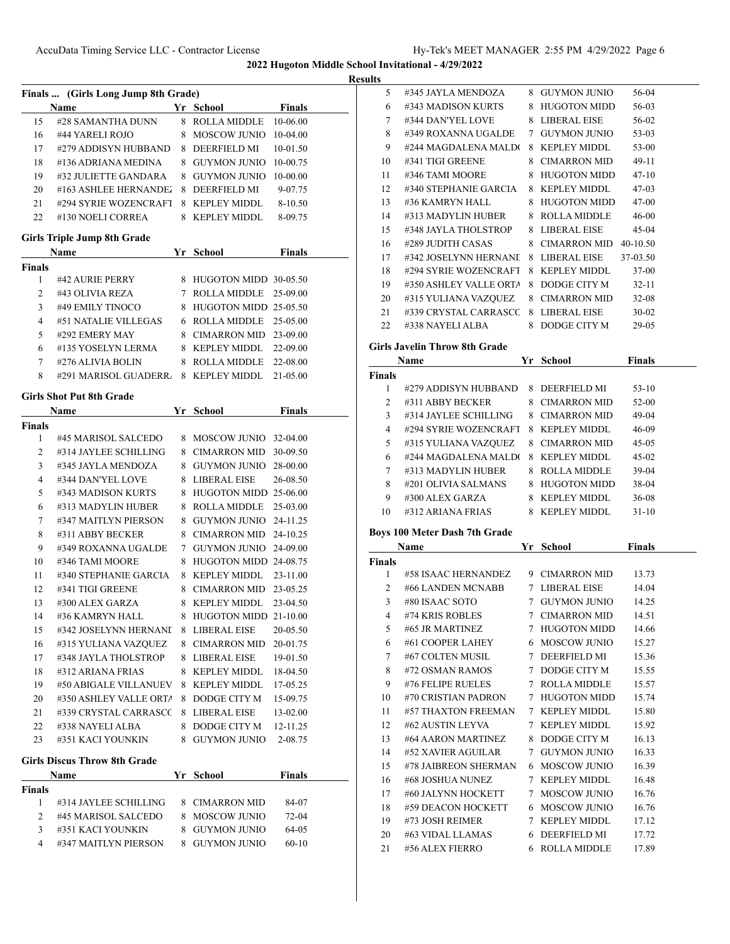**Results**

|               | Finals  (Girls Long Jump 8th Grade) |    |                         |                      |  |
|---------------|-------------------------------------|----|-------------------------|----------------------|--|
|               | Name                                |    | Yr School               | Finals               |  |
| 15            | #28 SAMANTHA DUNN                   |    | 8 ROLLA MIDDLE          | 10-06.00             |  |
| 16            | #44 YARELI ROJO                     | 8  | <b>MOSCOW JUNIO</b>     | 10-04.00             |  |
| 17            | #279 ADDISYN HUBBAND                | 8  | DEERFIELD MI            | 10-01.50             |  |
| 18            | #136 ADRIANA MEDINA                 | 8. | <b>GUYMON JUNIO</b>     | 10-00.75             |  |
| 19            | #32 JULIETTE GANDARA                | 8  | <b>GUYMON JUNIO</b>     | 10-00.00             |  |
| 20            | #163 ASHLEE HERNANDE.               | 8  | DEERFIELD MI            | 9-07.75              |  |
| 21            | #294 SYRIE WOZENCRAFT               | 8  | KEPLEY MIDDL            | $8 - 10.50$          |  |
| 22            | #130 NOELI CORREA                   | 8  | KEPLEY MIDDL            | 8-09.75              |  |
|               | <b>Girls Triple Jump 8th Grade</b>  |    |                         |                      |  |
|               | Name                                |    | Yr School               | Finals               |  |
| <b>Finals</b> |                                     |    |                         |                      |  |
| 1             | #42 AURIE PERRY                     |    | 8 HUGOTON MIDD 30-05.50 |                      |  |
| 2             | #43 OLIVIA REZA                     |    | 7 ROLLA MIDDLE          | 25-09.00             |  |
| 3             | #49 EMILY TINOCO                    | 8  | HUGOTON MIDD 25-05.50   |                      |  |
| 4             | #51 NATALIE VILLEGAS                | 6  | ROLLA MIDDLE            | 25-05.00             |  |
| 5             | #292 EMERY MAY                      | 8  | CIMARRON MID            | 23-09.00             |  |
| 6             | #135 YOSELYN LERMA                  | 8  | KEPLEY MIDDL            | 22-09.00             |  |
| 7             | #276 ALIVIA BOLIN                   | 8  | ROLLA MIDDLE            | 22-08.00             |  |
| 8             | #291 MARISOL GUADERR                | 8  | KEPLEY MIDDL            | 21-05.00             |  |
|               | <b>Girls Shot Put 8th Grade</b>     |    |                         |                      |  |
|               | Name                                |    | Yr School               | <b>Finals</b>        |  |
| <b>Finals</b> |                                     |    |                         |                      |  |
| 1             | #45 MARISOL SALCEDO                 | 8  | MOSCOW JUNIO            | 32-04.00             |  |
| 2             | #314 JAYLEE SCHILLING               | 8. | CIMARRON MID            | 30-09.50             |  |
| 3             | #345 JAYLA MENDOZA                  |    | 8 GUYMON JUNIO          | 28-00.00             |  |
| 4             | #344 DAN'YEL LOVE                   | 8  | LIBERAL EISE            | 26-08.50             |  |
| 5             | #343 MADISON KURTS                  | 8  | HUGOTON MIDD 25-06.00   |                      |  |
| 6             | #313 MADYLIN HUBER                  | 8  | ROLLA MIDDLE            | 25-03.00             |  |
| 7             | #347 MAITLYN PIERSON                | 8  | GUYMON JUNIO            | 24-11.25             |  |
| 8             | #311 ABBY BECKER                    | 8. | <b>CIMARRON MID</b>     | 24-10.25             |  |
| 9             | #349 ROXANNA UGALDE                 | 7  | GUYMON JUNIO            | 24-09.00             |  |
| 10            | #346 TAMI MOORE                     | 8  | HUGOTON MIDD 24-08.75   |                      |  |
|               | #340 STEPHANIE GARCIA               | 8  | <b>KEPLEY MIDDL</b>     |                      |  |
| 11<br>12      | #341 TIGI GREENE                    | 8  | <b>CIMARRON MID</b>     | 23-11.00             |  |
|               |                                     | 8  |                         | 23-05.25<br>23-04.50 |  |
| 13            | #300 ALEX GARZA<br>#36 KAMRYN HALL  |    | <b>KEPLEY MIDDL</b>     |                      |  |
| 14            |                                     | 8. | HUGOTON MIDD 21-10.00   |                      |  |
| 15            | #342 JOSELYNN HERNANI               | 8  | LIBERAL EISE            | 20-05.50             |  |
| 16            | #315 YULIANA VAZQUEZ                | 8  | <b>CIMARRON MID</b>     | 20-01.75             |  |
| 17            | #348 JAYLA THOLSTROP                | 8  | LIBERAL EISE            | 19-01.50             |  |
| 18            | #312 ARIANA FRIAS                   | 8  | <b>KEPLEY MIDDL</b>     | 18-04.50             |  |
| 19            | #50 ABIGALE VILLANUEV               | 8  | <b>KEPLEY MIDDL</b>     | 17-05.25             |  |
| 20            | #350 ASHLEY VALLE ORTA              | 8  | DODGE CITY M            | 15-09.75             |  |
| 21            | #339 CRYSTAL CARRASCC               | 8  | LIBERAL EISE            | 13-02.00             |  |
| 22            | #338 NAYELI ALBA                    | 8  | DODGE CITY M            | 12-11.25             |  |
| 23            | #351 KACI YOUNKIN                   |    | 8 GUYMON JUNIO          | 2-08.75              |  |
|               | <b>Girls Discus Throw 8th Grade</b> |    |                         |                      |  |
|               | Name                                |    | Yr School               | <b>Finals</b>        |  |
| <b>Finals</b> |                                     |    |                         |                      |  |
| 1             | #314 JAYLEE SCHILLING               |    | 8 CIMARRON MID          | 84-07                |  |
| 2             | #45 MARISOL SALCEDO                 | 8  | <b>MOSCOW JUNIO</b>     | 72-04                |  |
| 3             | #351 KACI YOUNKIN                   | 8  | <b>GUYMON JUNIO</b>     | 64-05                |  |
| 4             | #347 MAITLYN PIERSON                | 8. | <b>GUYMON JUNIO</b>     | $60 - 10$            |  |

| IIts   |                               |    |                     |               |  |
|--------|-------------------------------|----|---------------------|---------------|--|
| 5      | #345 JAYLA MENDOZA            |    | 8 GUYMON JUNIO      | 56-04         |  |
| 6      | #343 MADISON KURTS            | 8  | <b>HUGOTON MIDD</b> | 56-03         |  |
| 7      | #344 DAN'YEL LOVE             | 8  | LIBERAL EISE        | 56-02         |  |
| 8      | #349 ROXANNA UGALDE           | 7  | GUYMON JUNIO        | $53-03$       |  |
| 9      | #244 MAGDALENA MALDO          | 8  | <b>KEPLEY MIDDL</b> | $53-00$       |  |
| 10     | #341 TIGI GREENE              | 8  | CIMARRON MID        | $49-11$       |  |
| 11     | #346 TAMI MOORE               | 8  | HUGOTON MIDD        | $47-10$       |  |
| 12     | #340 STEPHANIE GARCIA         | 8  | <b>KEPLEY MIDDL</b> | $47-03$       |  |
| 13     | #36 KAMRYN HALL               | 8  | HUGOTON MIDD        | $47-00$       |  |
| 14     | #313 MADYLIN HUBER            | 8  | ROLLA MIDDLE        | $46 - 00$     |  |
| 15     | #348 JAYLA THOLSTROP          | 8  | LIBERAL EISE        | $45-04$       |  |
| 16     | #289 JUDITH CASAS             | 8  | CIMARRON MID        | $40-10.50$    |  |
| 17     | #342 JOSELYNN HERNANI         | 8  | LIBERAL EISE        | 37-03.50      |  |
| 18     | #294 SYRIE WOZENCRAFT         | 8  | KEPLEY MIDDL        | $37-00$       |  |
| 19     | #350 ASHLEY VALLE ORTA        | 8  | DODGE CITY M        | $32 - 11$     |  |
| 20     | #315 YULIANA VAZQUEZ          | 8  | CIMARRON MID        | $32 - 08$     |  |
| 21     | #339 CRYSTAL CARRASCC         | 8  | LIBERAL EISE        | $30 - 02$     |  |
| 22     | #338 NAYELI ALBA              | 8  | DODGE CITY M        | 29-05         |  |
|        | Girls Javelin Throw 8th Grade |    |                     |               |  |
|        | Name                          | Yr | School              | <b>Finals</b> |  |
| Finale |                               |    |                     |               |  |

| <b>Name</b>   |                       | Yr | School              | Finals    |  |
|---------------|-----------------------|----|---------------------|-----------|--|
| <b>Finals</b> |                       |    |                     |           |  |
|               | #279 ADDISYN HUBBAND  | 8. | <b>DEERFIELD MI</b> | $53-10$   |  |
| 2             | #311 ABBY BECKER      | 8. | CIMARRON MID        | $52 - 00$ |  |
| 3             | #314 JAYLEE SCHILLING | 8. | CIMARRON MID        | $49-04$   |  |
| 4             | #294 SYRIE WOZENCRAFT | 8  | KEPLEY MIDDL        | 46-09     |  |
| 5             | #315 YULIANA VAZQUEZ  | 8  | CIMARRON MID        | $45-0.5$  |  |
| 6             | #244 MAGDALENA MALDO  | 8  | KEPLEY MIDDL        | $45-02$   |  |
| 7             | #313 MADYLIN HUBER    | 8. | ROLLA MIDDLE        | 39-04     |  |
| 8             | #201 OLIVIA SALMANS   | 8. | <b>HUGOTON MIDD</b> | 38-04     |  |
| 9             | $\#300$ ALEX GARZA    | 8. | KEPLEY MIDDL        | $36 - 08$ |  |
| 10            | #312 ARIANA FRIAS     | 8  | <b>KEPLEY MIDDL</b> | $31 - 10$ |  |

## **Boys 100 Meter Dash 7th Grade**

| Name           |                      | Yr     | School              | Finals |  |
|----------------|----------------------|--------|---------------------|--------|--|
| Finals         |                      |        |                     |        |  |
| 1              | #58 ISAAC HERNANDEZ  |        | 9 CIMARRON MID      | 13.73  |  |
| $\overline{c}$ | #66 LANDEN MCNABB    | 7      | LIBERAL EISE        | 14.04  |  |
| 3              | #80 ISAAC SOTO       | $\tau$ | <b>GUYMON JUNIO</b> | 14.25  |  |
| 4              | #74 KRIS ROBLES      | 7      | CIMARRON MID        | 14.51  |  |
| 5              | #65 JR MARTINEZ      | 7      | <b>HUGOTON MIDD</b> | 14.66  |  |
| 6              | #61 COOPER LAHEY     | 6      | MOSCOW JUNIO        | 15.27  |  |
| 7              | #67 COLTEN MUSIL     | 7      | <b>DEERFIELD MI</b> | 15.36  |  |
| 8              | #72 OSMAN RAMOS      | 7      | DODGE CITY M        | 15.55  |  |
| 9              | #76 FELIPE RUELES    | 7      | <b>ROLLA MIDDLE</b> | 15.57  |  |
| 10             | #70 CRISTIAN PADRON  | 7      | <b>HUGOTON MIDD</b> | 15.74  |  |
| 11             | #57 THAXTON FREEMAN  | 7      | <b>KEPLEY MIDDL</b> | 15.80  |  |
| 12             | #62 AUSTIN LEYVA     | 7      | <b>KEPLEY MIDDL</b> | 15.92  |  |
| 13             | #64 AARON MARTINEZ   | 8      | DODGE CITY M        | 16.13  |  |
| 14             | #52 XAVIER AGUILAR   | 7      | <b>GUYMON JUNIO</b> | 16.33  |  |
| 15             | #78 JAIBREON SHERMAN | 6.     | MOSCOW JUNIO        | 16.39  |  |
| 16             | #68 JOSHUA NUNEZ     | 7      | <b>KEPLEY MIDDL</b> | 16.48  |  |
| 17             | #60 JALYNN HOCKETT   | 7      | MOSCOW JUNIO        | 16.76  |  |
| 18             | #59 DEACON HOCKETT   |        | 6 MOSCOW JUNIO      | 16.76  |  |
| 19             | #73 JOSH REIMER      | 7      | <b>KEPLEY MIDDL</b> | 17.12  |  |
| 20             | #63 VIDAL LLAMAS     | 6      | <b>DEERFIELD MI</b> | 17.72  |  |
| 21             | #56 ALEX FIERRO      | 6      | <b>ROLLA MIDDLE</b> | 17.89  |  |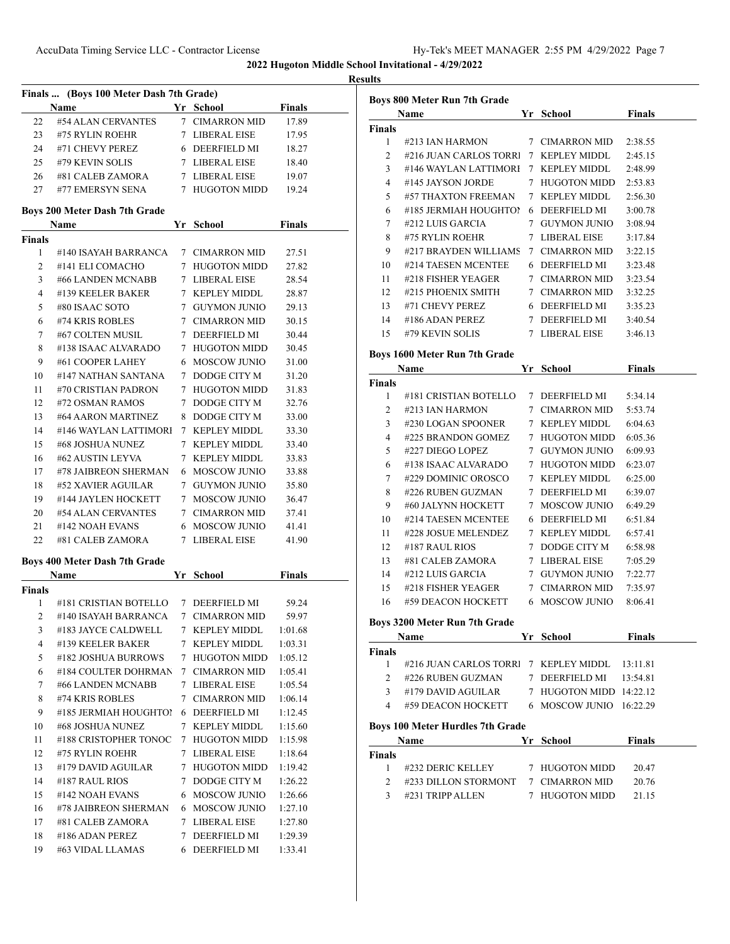|                    |                                                           |                                      |               | <b>Results</b> |
|--------------------|-----------------------------------------------------------|--------------------------------------|---------------|----------------|
|                    | Finals  (Boys 100 Meter Dash 7th Grade)<br>Name Yr School |                                      | <b>Finals</b> |                |
|                    | #54 ALAN CERVANTES                                        | 7 CIMARRON MID                       | 17.89         |                |
| 22                 | 23 #75 RYLIN ROEHR                                        | 7 LIBERAL EISE                       |               |                |
|                    | 24 #71 CHEVY PEREZ 6 DEERFIELD MI                         |                                      | 17.95         |                |
|                    |                                                           |                                      | 18.27         |                |
|                    | 25 #79 KEVIN SOLIS 7 LIBERAL EISE                         |                                      | 18.40         |                |
|                    | 26 #81 CALEB ZAMORA 7 LIBERAL EISE                        |                                      | 19.07         |                |
|                    | 27 #77 EMERSYN SENA 7 HUGOTON MIDD 19.24                  |                                      |               |                |
|                    | Boys 200 Meter Dash 7th Grade                             |                                      |               |                |
| <b>Finals</b>      | Name Yr School Finals                                     |                                      |               |                |
| 1                  | #140 ISAYAH BARRANCA 7 CIMARRON MID                       |                                      | 27.51         |                |
| 2                  | #141 ELI COMACHO                                          | 7 HUGOTON MIDD                       | 27.82         |                |
| 3                  | #66 LANDEN MCNABB                                         | 7 LIBERAL EISE                       | 28.54         |                |
| $\overline{4}$     | #139 KEELER BAKER                                         |                                      | 28.87         |                |
| 5                  | #80 ISAAC SOTO                                            | 7   KEPLEY MIDDL<br>7   GUYMON JUNIO | 29.13         |                |
| 6                  | #74 KRIS ROBLES                                           | 7 CIMARRON MID                       | 30.15         |                |
| 7                  | #67 COLTEN MUSIL 7 DEERFIELD MI                           |                                      |               |                |
|                    |                                                           |                                      | 30.44         |                |
| 8                  | #138 ISAAC ALVARADO 7 HUGOTON MIDD                        |                                      | 30.45         |                |
| 9                  | #61 COOPER LAHEY                                          | 6 MOSCOW JUNIO                       | 31.00         |                |
| 10                 | #147 NATHAN SANTANA 7 DODGE CITY M                        |                                      | 31.20         |                |
| 11                 | #70 CRISTIAN PADRON                                       | 7 HUGOTON MIDD                       | 31.83         |                |
| 12                 | #72 OSMAN RAMOS                                           | 7 DODGE CITY M                       | 32.76         |                |
| 13                 | #64 AARON MARTINEZ 8 DODGE CITY M                         |                                      | 33.00         |                |
| 14                 | #146 WAYLAN LATTIMORI 7 KEPLEY MIDDL                      |                                      | 33.30         |                |
| 15                 | #68 JOSHUA NUNEZ                                          | 7 KEPLEY MIDDL                       | 33.40         |                |
| 16                 | #62 AUSTIN LEYVA                                          | 7 KEPLEY MIDDL                       | 33.83         |                |
| 17                 | #78 JAIBREON SHERMAN 6 MOSCOW JUNIO                       |                                      | 33.88         |                |
| 18                 | #52 XAVIER AGUILAR 7 GUYMON JUNIO                         |                                      | 35.80         |                |
| 19                 | #144 JAYLEN HOCKETT 7 MOSCOW JUNIO                        |                                      | 36.47         |                |
| 20                 | #54 ALAN CERVANTES 7 CIMARRON MID                         |                                      | 37.41         |                |
| 21                 | #142 NOAH EVANS                                           | 6 MOSCOW JUNIO                       | 41.41         |                |
| 22                 | #81 CALEB ZAMORA 7 LIBERAL EISE                           |                                      | 41.90         |                |
|                    | Boys 400 Meter Dash 7th Grade                             |                                      |               |                |
|                    | Name                                                      | Vr School Finals                     |               |                |
| <b>Finals</b><br>1 | #181 CRISTIAN BOTELLO 7 DEERFIELD MI                      |                                      | 59.24         |                |
| 2                  | #140 ISAYAH BARRANCA                                      | 7 CIMARRON MID                       | 59.97         |                |
| 3                  | #183 JAYCE CALDWELL                                       | 7 KEPLEY MIDDL                       | 1:01.68       |                |
| 4                  | #139 KEELER BAKER                                         | 7 KEPLEY MIDDL                       | 1:03.31       |                |
| 5                  | #182 JOSHUA BURROWS                                       | 7 HUGOTON MIDD                       | 1:05.12       |                |
| 6                  | #184 COULTER DOHRMAN                                      | 7 CIMARRON MID                       | 1:05.41       |                |
|                    | #66 LANDEN MCNABB                                         | 7 LIBERAL EISE                       |               |                |
| 7                  |                                                           |                                      | 1:05.54       |                |
| 8                  | #74 KRIS ROBLES                                           | 7 CIMARRON MID                       | 1:06.14       |                |
| 9                  | #185 JERMIAH HOUGHTO!                                     | 6 DEERFIELD MI                       | 1:12.45       |                |
| 10                 | #68 JOSHUA NUNEZ                                          | 7 KEPLEY MIDDL                       | 1:15.60       |                |
| 11                 | #188 CRISTOPHER TONOC                                     | 7 HUGOTON MIDD                       | 1:15.98       |                |
| 12                 | #75 RYLIN ROEHR                                           | 7 LIBERAL EISE                       | 1:18.64       |                |
| 13                 | #179 DAVID AGUILAR                                        | 7 HUGOTON MIDD                       | 1:19.42       |                |
| 14                 | #187 RAUL RIOS                                            | 7 DODGE CITY M                       | 1:26.22       |                |
| 15                 | #142 NOAH EVANS                                           | 6 MOSCOW JUNIO                       | 1:26.66       |                |
| 16                 | #78 JAIBREON SHERMAN                                      | 6 MOSCOW JUNIO                       | 1:27.10       |                |
| 17                 | #81 CALEB ZAMORA                                          | 7 LIBERAL EISE                       | 1:27.80       |                |
| 18                 | #186 ADAN PEREZ                                           | 7 DEERFIELD MI                       | 1:29.39       |                |
|                    |                                                           |                                      |               |                |
|                    |                                                           |                                      |               |                |

|                               | <b>Boys 800 Meter Run 7th Grade</b>                                                                                                                                                          |                         |                |
|-------------------------------|----------------------------------------------------------------------------------------------------------------------------------------------------------------------------------------------|-------------------------|----------------|
|                               | <b>Name</b>                                                                                                                                                                                  | Yr School Finals        |                |
| Finals                        |                                                                                                                                                                                              |                         |                |
| 1                             | #213 IAN HARMON                                                                                                                                                                              | 7 CIMARRON MID          | 2:38.55        |
|                               | 2 #216 JUAN CARLOS TORR 7 KEPLEY MIDDL                                                                                                                                                       |                         | 2:45.15        |
|                               | 3 #146 WAYLAN LATTIMORI 7 KEPLEY MIDDL                                                                                                                                                       |                         | 2:48.99        |
|                               | 4 #145 JAYSON JORDE                                                                                                                                                                          | 7 HUGOTON MIDD          | 2:53.83        |
|                               | 5 #57 THAXTON FREEMAN                                                                                                                                                                        | 7 KEPLEY MIDDL          | 2:56.30        |
| 6                             | #185 JERMIAH HOUGHTO! 6 DEERFIELD MI                                                                                                                                                         |                         | 3:00.78        |
| 7                             | #212 LUIS GARCIA                                                                                                                                                                             | 7 GUYMON JUNIO          | 3:08.94        |
| 8                             | #75 RYLIN ROEHR                                                                                                                                                                              | 7 LIBERAL EISE          | 3:17.84        |
| 9                             | #217 BRAYDEN WILLIAMS 7 CIMARRON MID                                                                                                                                                         |                         | 3:22.15        |
| 10                            | #214 TAESEN MCENTEE                                                                                                                                                                          | 6 DEERFIELD MI          | 3:23.48        |
| 11                            | #218 FISHER YEAGER                                                                                                                                                                           | 7 CIMARRON MID          | 3:23.54        |
| 12                            | #215 PHOENIX SMITH 7 CIMARRON MID                                                                                                                                                            |                         | 3:32.25        |
| 13                            | #71 CHEVY PEREZ                                                                                                                                                                              | 6 DEERFIELD MI          | 3:35.23        |
|                               | 14 #186 ADAN PEREZ 7 DEERFIELD MI                                                                                                                                                            |                         | 3:40.54        |
| 15                            | #79 KEVIN SOLIS                                                                                                                                                                              | 7 LIBERAL EISE          | 3:46.13        |
|                               | Boys 1600 Meter Run 7th Grade                                                                                                                                                                |                         |                |
|                               | <b>Name</b>                                                                                                                                                                                  | Yr School               | <b>Finals</b>  |
| Finals                        |                                                                                                                                                                                              |                         |                |
| 1                             | #181 CRISTIAN BOTELLO 7 DEERFIELD MI                                                                                                                                                         |                         | 5:34.14        |
| 2                             | #213 IAN HARMON                                                                                                                                                                              | 7 CIMARRON MID          | 5:53.74        |
| 3                             | #230 LOGAN SPOONER                                                                                                                                                                           | 7 KEPLEY MIDDL          | 6:04.63        |
| 4                             | #225 BRANDON GOMEZ                                                                                                                                                                           | 7 HUGOTON MIDD          | 6:05.36        |
|                               | 5 #227 DIEGO LOPEZ                                                                                                                                                                           | 7 GUYMON JUNIO          | 6:09.93        |
|                               | 6 #138 ISAAC ALVARADO                                                                                                                                                                        | 7 HUGOTON MIDD          | 6:23.07        |
|                               | 7 #229 DOMINIC OROSCO                                                                                                                                                                        | 7 KEPLEY MIDDL          | 6:25.00        |
| 8                             | #226 RUBEN GUZMAN                                                                                                                                                                            | 7 DEERFIELD MI          | 6:39.07        |
| 9                             | #60 JALYNN HOCKETT                                                                                                                                                                           | 7 MOSCOW JUNIO          | 6:49.29        |
| 10                            | #214 TAESEN MCENTEE                                                                                                                                                                          | 6 DEERFIELD MI          | 6:51.84        |
| 11                            | #228 JOSUE MELENDEZ 7 KEPLEY MIDDL                                                                                                                                                           |                         | 6:57.41        |
| 12                            | #187 RAUL RIOS                                                                                                                                                                               | 7 DODGE CITY M          | 6:58.98        |
| 13                            | #81 CALEB ZAMORA                                                                                                                                                                             | 7 LIBERAL EISE          | 7:05.29        |
| 14                            | #212 LUIS GARCIA                                                                                                                                                                             | 7 GUYMON JUNIO          | 7:22.77        |
| 15                            | #218 FISHER YEAGER                                                                                                                                                                           | 7 CIMARRON MID          | 7:35.97        |
| 16                            | #59 DEACON HOCKETT 6 MOSCOW JUNIO                                                                                                                                                            |                         | 8:06.41        |
|                               | Boys 3200 Meter Run 7th Grade                                                                                                                                                                |                         |                |
|                               | <b>Name School Example 1 Property Property Property Property Property Property Property Property Property Property Property Property Property Property Property Property Property Proper</b> |                         |                |
| Finals                        |                                                                                                                                                                                              |                         |                |
| $\mathbf{1}$                  | #216 JUAN CARLOS TORR 7 KEPLEY MIDDL 13:11.81                                                                                                                                                |                         |                |
|                               | 2 #226 RUBEN GUZMAN                                                                                                                                                                          | 7 DEERFIELD MI 13:54.81 |                |
|                               | 3 #179 DAVID AGUILAR                                                                                                                                                                         | 7 HUGOTON MIDD 14:22.12 |                |
|                               | 4 #59 DEACON HOCKETT 6 MOSCOW JUNIO 16:22.29                                                                                                                                                 |                         |                |
|                               | <b>Boys 100 Meter Hurdles 7th Grade</b>                                                                                                                                                      |                         |                |
|                               | Name <sub>s</sub>                                                                                                                                                                            | Yr School               | <b>Finals</b>  |
|                               |                                                                                                                                                                                              | 7 HUGOTON MIDD          | 20.47          |
|                               |                                                                                                                                                                                              |                         |                |
| 1                             | #232 DERIC KELLEY                                                                                                                                                                            |                         |                |
| Finals<br>$\overline{2}$<br>3 | #233 DILLON STORMONT 7 CIMARRON MID<br>#231 TRIPP ALLEN                                                                                                                                      | 7 HUGOTON MIDD          | 20.76<br>21.15 |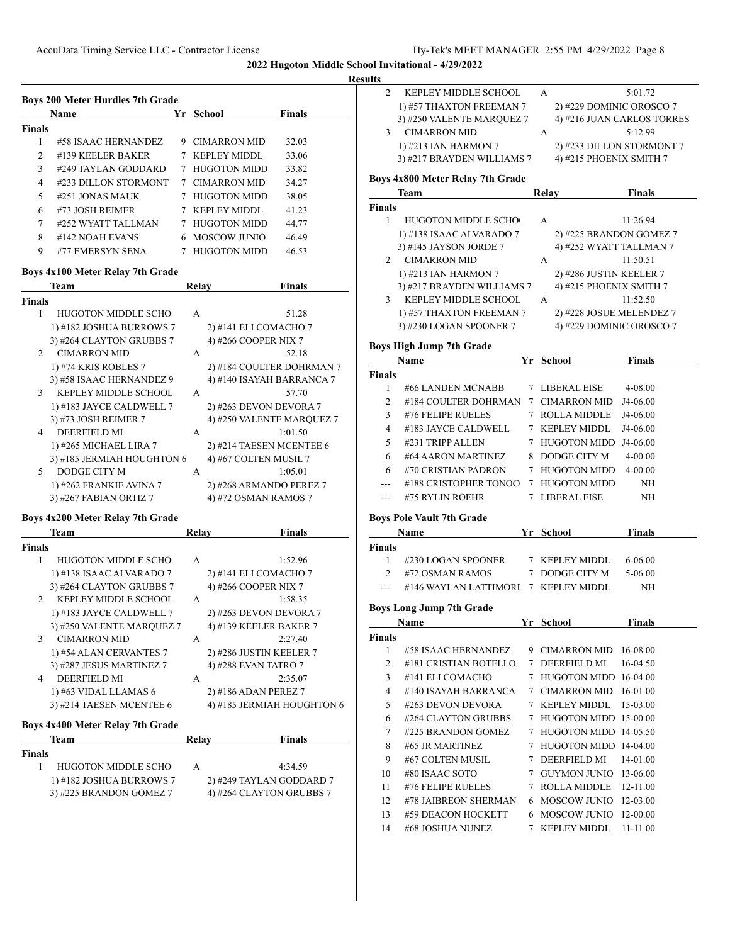|               | <b>Name</b>          | Yr | School              | <b>Finals</b> |
|---------------|----------------------|----|---------------------|---------------|
| <b>Finals</b> |                      |    |                     |               |
| 1             | #58 ISAAC HERNANDEZ  | 9  | <b>CIMARRON MID</b> | 32.03         |
| 2             | #139 KEELER BAKER    |    | KEPLEY MIDDL        | 33.06         |
| 3             | #249 TAYLAN GODDARD  | 7  | <b>HUGOTON MIDD</b> | 33.82         |
| 4             | #233 DILLON STORMONT |    | 7 CIMARRON MID      | 34.27         |
| 5             | #251 JONAS MAUK      | 7  | <b>HUGOTON MIDD</b> | 38.05         |
| 6             | #73 JOSH REIMER      | 7  | KEPLEY MIDDL        | 41.23         |
| 7             | #252 WYATT TALLMAN   |    | <b>HUGOTON MIDD</b> | 44.77         |
| 8             | #142 NOAH EVANS      |    | 6 MOSCOW JUNIO      | 46.49         |
| 9             | #77 EMERSYN SENA     |    | <b>HUGOTON MIDD</b> | 46.53         |

## **Boys 4x100 Meter Relay 7th Grade**

|                | Team                       | Relay        | <b>Finals</b>             |
|----------------|----------------------------|--------------|---------------------------|
| Finals         |                            |              |                           |
| 1              | <b>HUGOTON MIDDLE SCHO</b> | A            | 51.28                     |
|                | 1) #182 JOSHUA BURROWS 7   |              | 2) #141 ELI COMACHO 7     |
|                | 3) #264 CLAYTON GRUBBS 7   |              | 4) #266 COOPER NIX 7      |
| $\mathfrak{D}$ | <b>CIMARRON MID</b>        | A            | 52.18                     |
|                | 1) #74 KRIS ROBLES 7       |              | 2) #184 COULTER DOHRMAN 7 |
|                | 3) #58 ISAAC HERNANDEZ 9   |              | 4) #140 ISAYAH BARRANCA 7 |
| $\mathbf{3}$   | KEPLEY MIDDLE SCHOOL       | $\mathsf{A}$ | 57.70                     |
|                | 1) #183 JAYCE CALDWELL 7   |              | 2) #263 DEVON DEVORA 7    |
|                | 3) #73 JOSH REIMER 7       |              | 4) #250 VALENTE MARQUEZ 7 |
| 4              | <b>DEERFIELD MI</b>        | A            | 1:01.50                   |
|                | 1) #265 MICHAEL LIRA 7     |              | 2) #214 TAESEN MCENTEE 6  |
|                | 3) #185 JERMIAH HOUGHTON 6 |              | 4) #67 COLTEN MUSIL 7     |
| 5              | DODGE CITY M               | A            | 1:05.01                   |
|                | 1) #262 FRANKIE AVINA 7    |              | 2) #268 ARMANDO PEREZ 7   |
|                | 3) #267 FABIAN ORTIZ 7     |              | 4) #72 OSMAN RAMOS 7      |

# **Boys 4x200 Meter Relay 7th Grade**

|                | Team                                    | Relay        | <b>Finals</b>              |
|----------------|-----------------------------------------|--------------|----------------------------|
| Finals         |                                         |              |                            |
| 1              | HUGOTON MIDDLE SCHO                     | A            | 1:52.96                    |
|                | 1) #138 ISAAC ALVARADO 7                |              | 2) #141 ELI COMACHO 7      |
|                | 3) #264 CLAYTON GRUBBS 7                |              | 4) #266 COOPER NIX 7       |
| $\mathfrak{D}$ | KEPLEY MIDDLE SCHOOL                    | $\mathsf{A}$ | 1:58.35                    |
|                | 1) #183 JAYCE CALDWELL 7                |              | 2) #263 DEVON DEVORA 7     |
|                | 3) #250 VALENTE MARQUEZ 7               |              | 4) #139 KEELER BAKER 7     |
| $\mathbf{3}$   | <b>CIMARRON MID</b>                     | $\mathsf{A}$ | 2:27.40                    |
|                | 1) #54 ALAN CERVANTES 7                 |              | 2) #286 JUSTIN KEELER 7    |
|                | 3) #287 JESUS MARTINEZ 7                |              | 4) #288 EVAN TATRO 7       |
| 4              | DEERFIELD MI                            | $\mathsf{A}$ | 2:35.07                    |
|                | 1) #63 VIDAL LLAMAS 6                   |              | 2) #186 ADAN PEREZ 7       |
|                | 3) #214 TAESEN MCENTEE 6                |              | 4) #185 JERMIAH HOUGHTON 6 |
|                | <b>Boys 4x400 Meter Relay 7th Grade</b> |              |                            |

| Team                     | Relav | <b>Finals</b>            |
|--------------------------|-------|--------------------------|
| <b>Finals</b>            |       |                          |
| HUGOTON MIDDLE SCHO      | А     | 4:34.59                  |
| 1) #182 JOSHUA BURROWS 7 |       | 2) #249 TAYLAN GODDARD 7 |
| 3) #225 BRANDON GOMEZ 7  |       | 4) #264 CLAYTON GRUBBS 7 |
|                          |       |                          |

| <b>Results</b> |                                      |   |                                                    |                            |
|----------------|--------------------------------------|---|----------------------------------------------------|----------------------------|
| 2              | KEPLEY MIDDLE SCHOOL                 |   | A                                                  | 5:01.72                    |
|                | 1) #57 THAXTON FREEMAN 7             |   | 2) #229 DOMINIC OROSCO 7                           |                            |
|                | 3) #250 VALENTE MARQUEZ 7            |   |                                                    | 4) #216 JUAN CARLOS TORRES |
| 3              | CIMARRON MID                         |   | A                                                  | 5:12.99                    |
|                | 1) #213 IAN HARMON 7                 |   |                                                    | 2) #233 DILLON STORMONT 7  |
|                | 3) #217 BRAYDEN WILLIAMS 7           |   | 4) #215 PHOENIX SMITH 7                            |                            |
|                | Boys 4x800 Meter Relay 7th Grade     |   |                                                    |                            |
|                | <b>Team</b>                          |   | Relay                                              | <b>Finals</b>              |
| <b>Finals</b>  |                                      |   |                                                    |                            |
| 1              | <b>HUGOTON MIDDLE SCHO</b>           |   | A                                                  | 11:26.94                   |
|                | 1) #138 ISAAC ALVARADO 7             |   | 2) #225 BRANDON GOMEZ 7                            |                            |
|                | 3) #145 JAYSON JORDE 7               |   | 4) #252 WYATT TALLMAN 7                            |                            |
| 2              | CIMARRON MID                         |   | A                                                  | 11:50.51                   |
|                | 1) #213 IAN HARMON 7                 |   | 2) #286 JUSTIN KEELER 7                            |                            |
|                | 3) #217 BRAYDEN WILLIAMS 7           |   | 4) #215 PHOENIX SMITH 7                            |                            |
| 3              | KEPLEY MIDDLE SCHOOL                 |   | $\mathsf{A}$                                       | 11:52.50                   |
|                | 1) #57 THAXTON FREEMAN 7             |   | 2) #228 JOSUE MELENDEZ 7                           |                            |
|                | 3) #230 LOGAN SPOONER 7              |   | 4) #229 DOMINIC OROSCO 7                           |                            |
|                | <b>Boys High Jump 7th Grade</b>      |   |                                                    |                            |
|                | Name                                 |   | Yr School                                          | <b>Finals</b>              |
| <b>Finals</b>  |                                      |   |                                                    |                            |
| 1              | #66 LANDEN MCNABB                    |   | 7 LIBERAL EISE                                     | 4-08.00                    |
| 2              | #184 COULTER DOHRMAN                 |   | 7 CIMARRON MID                                     | J4-06.00                   |
| 3              | #76 FELIPE RUELES                    |   | 7 ROLLA MIDDLE                                     | J4-06.00                   |
| 4              | #183 JAYCE CALDWELL                  |   | 7 KEPLEY MIDDL                                     | J4-06.00                   |
| 5              | #231 TRIPP ALLEN                     |   | 7 HUGOTON MIDD J4-06.00                            |                            |
| 6              | #64 AARON MARTINEZ                   |   | 8 DODGE CITY M                                     | $4 - 00.00$                |
| 6              | #70 CRISTIAN PADRON                  |   | 7 HUGOTON MIDD                                     | 4-00.00                    |
| ---            | #188 CRISTOPHER TONOC                |   | 7 HUGOTON MIDD                                     | NH                         |
| ---            | #75 RYLIN ROEHR                      |   | 7 LIBERAL EISE                                     | NH                         |
|                | <b>Boys Pole Vault 7th Grade</b>     |   |                                                    |                            |
|                | Name                                 |   | Yr School                                          | <b>Finals</b>              |
| <b>Finals</b>  |                                      |   |                                                    |                            |
| 1              | #230 LOGAN SPOONER                   |   | 7 KEPLEY MIDDL                                     | 6-06.00                    |
| 2              | #72 OSMAN RAMOS                      |   | 7 DODGE CITY M                                     | 5-06.00                    |
|                | #146 WAYLAN LATTIMORI 7 KEPLEY MIDDL |   |                                                    | NH                         |
|                |                                      |   |                                                    |                            |
|                | <b>Boys Long Jump 7th Grade</b>      |   |                                                    |                            |
|                | <b>Name</b>                          |   | Yr School                                          | <b>Finals</b>              |
| <b>Finals</b>  |                                      |   |                                                    |                            |
| 1              | #58 ISAAC HERNANDEZ                  |   | 9 CIMARRON MID<br>DEERFIELD MI                     | 16-08.00                   |
| 2              | #181 CRISTIAN BOTELLO                | 7 |                                                    | 16-04.50                   |
| 3              | #141 ELI COMACHO                     |   | 7 HUGOTON MIDD 16-04.00                            |                            |
| 4              | #140 ISAYAH BARRANCA                 |   | 7 CIMARRON MID                                     | 16-01.00                   |
| 5              | #263 DEVON DEVORA                    |   | 7 KEPLEY MIDDL                                     | 15-03.00                   |
| 6              | #264 CLAYTON GRUBBS                  |   | 7 HUGOTON MIDD 15-00.00                            |                            |
| 7<br>8         | #225 BRANDON GOMEZ                   |   | 7 HUGOTON MIDD 14-05.50<br>7 HUGOTON MIDD 14-04.00 |                            |
| 9              | #65 JR MARTINEZ<br>#67 COLTEN MUSIL  |   | 7 DEERFIELD MI                                     |                            |
|                |                                      |   |                                                    | 14-01.00                   |
| 10             | #80 ISAAC SOTO                       |   | 7 GUYMON JUNIO                                     | 13-06.00                   |
| 11             | #76 FELIPE RUELES                    |   | 7 ROLLA MIDDLE                                     | 12-11.00                   |
| 12             | #78 JAIBREON SHERMAN                 |   | 6 MOSCOW JUNIO                                     | 12-03.00                   |
| 13             | #59 DEACON HOCKETT                   |   | 6 MOSCOW JUNIO                                     | 12-00.00                   |
| 14             | #68 JOSHUA NUNEZ                     |   | 7 KEPLEY MIDDL                                     | 11-11.00                   |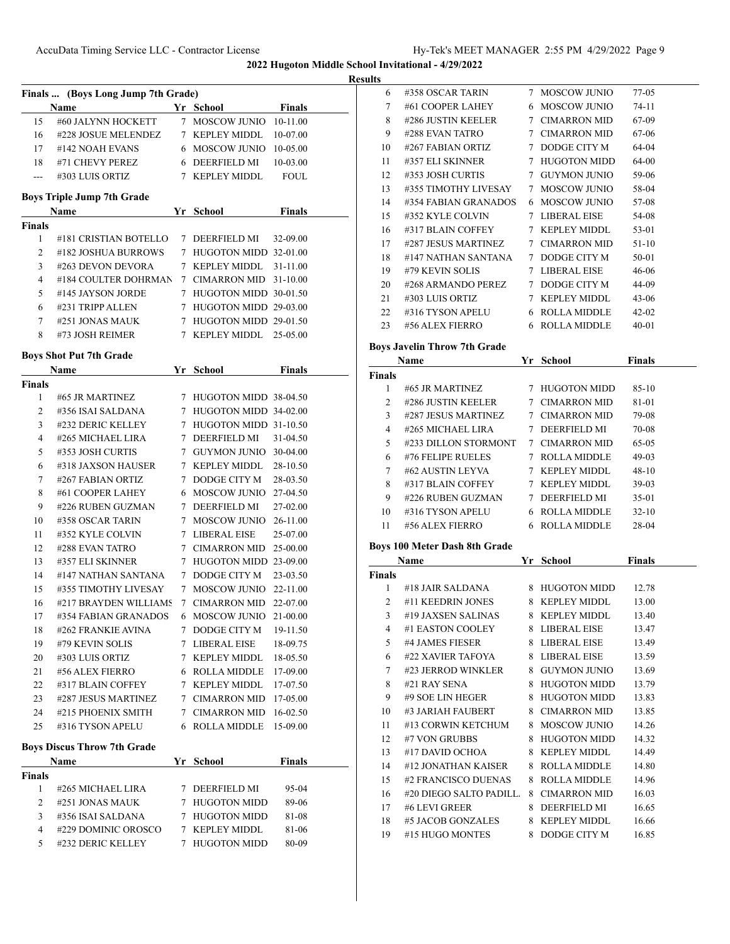|                |                                    |   |                         |               | <b>Results</b> |
|----------------|------------------------------------|---|-------------------------|---------------|----------------|
|                | Finals  (Boys Long Jump 7th Grade) |   |                         |               |                |
|                | Name                               |   | Yr School               | Finals        |                |
| 15             | #60 JALYNN HOCKETT                 |   | 7 MOSCOW JUNIO          | 10-11.00      |                |
| 16             | #228 JOSUE MELENDEZ                |   | 7 KEPLEY MIDDL          | 10-07.00      |                |
| 17             | #142 NOAH EVANS                    |   | 6 MOSCOW JUNIO 10-05.00 |               |                |
| 18             | #71 CHEVY PEREZ                    |   | 6 DEERFIELD MI          | 10-03.00      |                |
| $\sim$ $\sim$  | #303 LUIS ORTIZ                    |   | 7 KEPLEY MIDDL          | <b>FOUL</b>   |                |
|                | <b>Boys Triple Jump 7th Grade</b>  |   |                         |               |                |
|                | Name                               |   | Yr School               | <b>Finals</b> |                |
| Finals         |                                    |   |                         |               |                |
| 1              | #181 CRISTIAN BOTELLO              |   | 7 DEERFIELD MI          | 32-09.00      |                |
| 2              | #182 JOSHUA BURROWS                |   | 7 HUGOTON MIDD 32-01.00 |               |                |
| 3              | #263 DEVON DEVORA                  |   | 7 KEPLEY MIDDL          | 31-11.00      |                |
| $\overline{4}$ | #184 COULTER DOHRMAN               |   | 7 CIMARRON MID 31-10.00 |               |                |
| 5              | #145 JAYSON JORDE                  |   | 7 HUGOTON MIDD 30-01.50 |               |                |
| 6              | #231 TRIPP ALLEN                   |   | 7 HUGOTON MIDD 29-03.00 |               |                |
| 7              | #251 JONAS MAUK                    |   | 7 HUGOTON MIDD 29-01.50 |               |                |
| 8              | #73 JOSH REIMER                    |   | 7 KEPLEY MIDDL          | 25-05.00      |                |
|                | <b>Boys Shot Put 7th Grade</b>     |   |                         |               | B <sub>0</sub> |
|                | Name                               |   | Yr School               | <b>Finals</b> | Fi             |
| Finals         |                                    |   |                         |               |                |
| 1              | #65 JR MARTINEZ                    |   | 7 HUGOTON MIDD 38-04.50 |               |                |
| 2              | #356 ISAI SALDANA                  |   | 7 HUGOTON MIDD 34-02.00 |               |                |
| 3              | #232 DERIC KELLEY                  |   | 7 HUGOTON MIDD 31-10.50 |               |                |
| $\overline{4}$ | #265 MICHAEL LIRA                  |   | 7 DEERFIELD MI          | 31-04.50      |                |
| 5              | #353 JOSH CURTIS                   |   | 7 GUYMON JUNIO 30-04.00 |               |                |
| 6              | #318 JAXSON HAUSER                 |   | 7 KEPLEY MIDDL          | 28-10.50      |                |
| 7              | #267 FABIAN ORTIZ                  |   | 7 DODGE CITY M          | 28-03.50      |                |
| 8              | #61 COOPER LAHEY                   |   | 6 MOSCOW JUNIO          | 27-04.50      |                |
| 9              | #226 RUBEN GUZMAN                  |   | 7 DEERFIELD MI          | 27-02.00      |                |
| 10             | #358 OSCAR TARIN                   |   | 7 MOSCOW JUNIO          | 26-11.00      |                |
| 11             | #352 KYLE COLVIN                   |   | 7 LIBERAL EISE          | 25-07.00      |                |
| 12             | #288 EVAN TATRO                    |   | 7 CIMARRON MID 25-00.00 |               | Βo             |
| 13             | #357 ELI SKINNER                   |   | 7 HUGOTON MIDD 23-09.00 |               |                |
| 14             | #147 NATHAN SANTANA                |   | 7 DODGE CITY M          | 23-03.50      | Fi             |
| 15             | #355 TIMOTHY LIVESAY               |   | 7 MOSCOW JUNIO          | 22-11.00      |                |
| 16             | #217 BRAYDEN WILLIAMS              |   | 7 CIMARRON MID          | 22-07.00      |                |
| 17             | #354 FABIAN GRANADOS               |   | 6 MOSCOW JUNIO          | 21-00.00      |                |
| 18             | #262 FRANKIE AVINA                 | 7 | DODGE CITY M            | 19-11.50      |                |
| 19             | #79 KEVIN SOLIS                    |   | 7 LIBERAL EISE          | 18-09.75      |                |
| 20             | #303 LUIS ORTIZ                    |   | 7 KEPLEY MIDDL          | 18-05.50      |                |
| 21             | #56 ALEX FIERRO                    |   | 6 ROLLA MIDDLE          | 17-09.00      |                |
| 22             | #317 BLAIN COFFEY                  |   | 7 KEPLEY MIDDL          | 17-07.50      |                |
| 23             | #287 JESUS MARTINEZ                |   | 7 CIMARRON MID          | 17-05.00      |                |
| 24             | #215 PHOENIX SMITH                 |   | 7 CIMARRON MID          | 16-02.50      |                |
| 25             | #316 TYSON APELU                   |   | <b>6 ROLLA MIDDLE</b>   | 15-09.00      |                |
|                |                                    |   |                         |               |                |
|                | <b>Boys Discus Throw 7th Grade</b> |   |                         |               |                |
|                | Name                               |   | Yr School               | <b>Finals</b> |                |
| Finals<br>1    | #265 MICHAEL LIRA                  |   | 7 DEERFIELD MI          | 95-04         |                |
| 2              | #251 JONAS MAUK                    | 7 | <b>HUGOTON MIDD</b>     | 89-06         |                |
| 3              | #356 ISAI SALDANA                  |   | 7 HUGOTON MIDD          | 81-08         |                |
| 4              | #229 DOMINIC OROSCO                | 7 | <b>KEPLEY MIDDL</b>     | 81-06         |                |
| 5              | #232 DERIC KELLEY                  |   | 7 HUGOTON MIDD          | 80-09         |                |
|                |                                    |   |                         |               |                |

| ï. |                                    |    |                |               |  |
|----|------------------------------------|----|----------------|---------------|--|
| 6  | #358 OSCAR TARIN                   | 7  | MOSCOW JUNIO   | 77-05         |  |
| 7  | #61 COOPER LAHEY                   |    | 6 MOSCOW JUNIO | $74-11$       |  |
| 8  | #286 JUSTIN KEELER 7 CIMARRON MID  |    |                | 67-09         |  |
| 9  | #288 EVAN TATRO                    |    | 7 CIMARRON MID | 67-06         |  |
| 10 | #267 FABIAN ORTIZ 7 DODGE CITY M   |    |                | $64-04$       |  |
| 11 | #357 ELI SKINNER                   |    | 7 HUGOTON MIDD | 64-00         |  |
| 12 | #353 JOSH CURTIS 7 GUYMON JUNIO    |    |                | 59-06         |  |
| 13 | #355 TIMOTHY LIVESAY               |    | 7 MOSCOW JUNIO | 58-04         |  |
| 14 | #354 FABIAN GRANADOS               |    | 6 MOSCOW JUNIO | 57-08         |  |
| 15 | #352 KYLE COLVIN                   | 7  | LIBERAL EISE   | 54-08         |  |
| 16 | #317 BLAIN COFFEY 7 KEPLEY MIDDL   |    |                | 53-01         |  |
| 17 | #287 JESUS MARTINEZ 7 CIMARRON MID |    |                | $51-10$       |  |
| 18 | #147 NATHAN SANTANA 7 DODGE CITY M |    |                | $50-01$       |  |
| 19 | #79 KEVIN SOLIS                    |    | 7 LIBERAL EISE | $46 - 06$     |  |
| 20 | #268 ARMANDO PEREZ 7 DODGE CITY M  |    |                | 44-09         |  |
| 21 | #303 LUIS ORTIZ                    |    | 7 KEPLEY MIDDL | $43 - 06$     |  |
| 22 | #316 TYSON APELU 6 ROLLA MIDDLE    |    |                | $42 - 02$     |  |
| 23 | #56 ALEX FIERRO                    |    | 6 ROLLA MIDDLE | $40-01$       |  |
|    | yys Javelin Throw 7th Grade        |    |                |               |  |
|    | Name                               | Yr | School         | <b>Finals</b> |  |

| <b>Boys Javelin Throw 7th Grade</b> |  |  |
|-------------------------------------|--|--|
|-------------------------------------|--|--|

|                | Boys Javelin Throw 7th Grade         |    |                     |               |
|----------------|--------------------------------------|----|---------------------|---------------|
|                | Name                                 | Yr | <b>School</b>       | <b>Finals</b> |
| Finals         |                                      |    |                     |               |
| 1              | #65 JR MARTINEZ                      |    | 7 HUGOTON MIDD      | $85-10$       |
| 2              | #286 JUSTIN KEELER                   |    | 7 CIMARRON MID      | 81-01         |
| 3              | #287 JESUS MARTINEZ                  |    | 7 CIMARRON MID      | 79-08         |
| $\overline{4}$ | #265 MICHAEL LIRA                    |    | 7 DEERFIELD MI      | 70-08         |
| 5              | #233 DILLON STORMONT                 |    | 7 CIMARRON MID      | 65-05         |
| 6              | #76 FELIPE RUELES                    |    | 7 ROLLA MIDDLE      | $49-03$       |
| 7              | #62 AUSTIN LEYVA                     |    | 7 KEPLEY MIDDL      | $48-10$       |
| 8              | #317 BLAIN COFFEY                    |    | 7 KEPLEY MIDDL      | $39-03$       |
| 9              | #226 RUBEN GUZMAN                    |    | 7 DEERFIELD MI      | $35-01$       |
| 10             | #316 TYSON APELU                     |    | 6 ROLLA MIDDLE      | $32 - 10$     |
| 11             | #56 ALEX FIERRO                      |    | 6 ROLLA MIDDLE      | 28-04         |
|                | <b>Boys 100 Meter Dash 8th Grade</b> |    |                     |               |
|                | Name                                 |    | Yr School           | <b>Finals</b> |
| Finals         |                                      |    |                     |               |
| 1              | #18 JAIR SALDANA                     |    | 8 HUGOTON MIDD      | 12.78         |
| 2              | #11 KEEDRIN JONES                    |    | 8 KEPLEY MIDDL      | 13.00         |
| 3              | #19 JAXSEN SALINAS                   |    | 8 KEPLEY MIDDL      | 13.40         |
| $\overline{4}$ | #1 EASTON COOLEY                     |    | 8 LIBERAL EISE      | 13.47         |
| 5              | #4 JAMES FIESER                      |    | 8 LIBERAL EISE      | 13.49         |
| 6              | #22 XAVIER TAFOYA                    |    | 8 LIBERAL EISE      | 13.59         |
| $\overline{7}$ | #23 JERROD WINKLER                   |    | 8 GUYMON JUNIO      | 13.69         |
| 8              | #21 RAY SENA                         |    | 8 HUGOTON MIDD      | 13.79         |
| 9              | #9 SOE LIN HEGER                     |    | 8 HUGOTON MIDD      | 13.83         |
| 10             | #3 JARIAH FAUBERT                    |    | 8 CIMARRON MID      | 13.85         |
| 11             | #13 CORWIN KETCHUM                   |    | 8 MOSCOW JUNIO      | 14.26         |
| 12             | #7 VON GRUBBS                        |    | 8 HUGOTON MIDD      | 14.32         |
| 13             | #17 DAVID OCHOA                      |    | 8 KEPLEY MIDDL      | 14.49         |
| 14             | #12 JONATHAN KAISER                  |    | 8 ROLLA MIDDLE      | 14.80         |
| 15             | #2 FRANCISCO DUENAS                  |    | 8 ROLLA MIDDLE      | 14.96         |
| 16             | #20 DIEGO SALTO PADILL.              | 8  | <b>CIMARRON MID</b> | 16.03         |

17 #6 LEVI GREER 8 DEERFIELD MI 16.65 18 #5 JACOB GONZALES 8 KEPLEY MIDDL 16.66 19 #15 HUGO MONTES 8 DODGE CITY M 16.85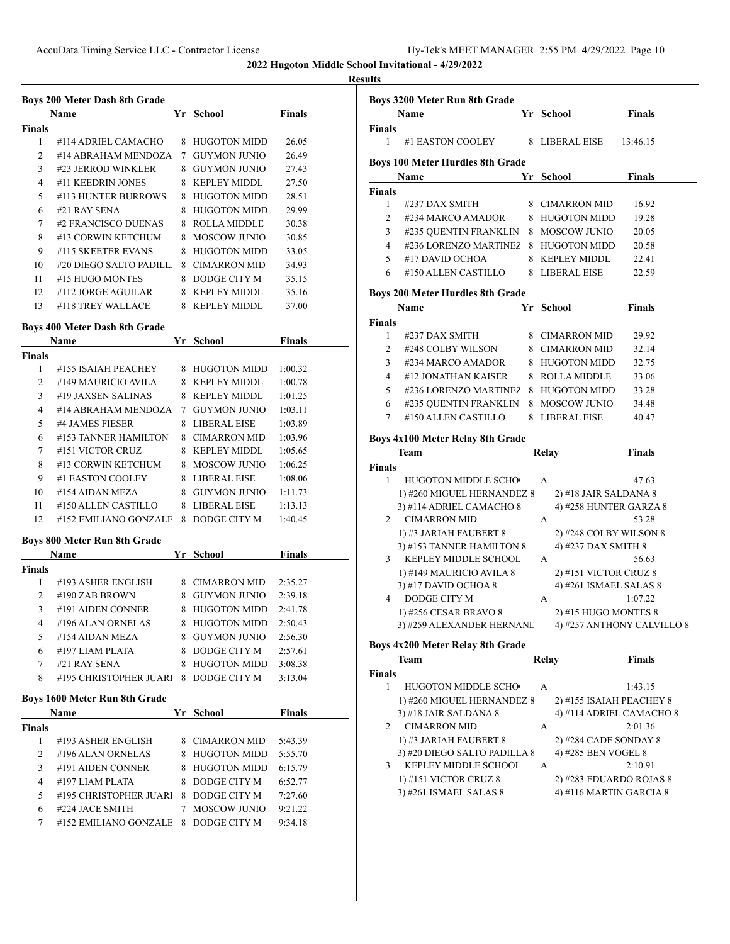#### **Result**

|               | Name                   | Yr. | School              | <b>Finals</b> |
|---------------|------------------------|-----|---------------------|---------------|
| <b>Finals</b> |                        |     |                     |               |
| 1             | #114 ADRIEL CAMACHO    | 8   | HUGOTON MIDD        | 26.05         |
| $\mathcal{L}$ | #14 ABRAHAM MENDOZA    | 7   | <b>GUYMON JUNIO</b> | 26.49         |
| 3             | #23 JERROD WINKLER     | 8   | GUYMON JUNIO        | 27.43         |
| 4             | #11 KEEDRIN JONES      | 8   | <b>KEPLEY MIDDL</b> | 27.50         |
| 5             | #113 HUNTER BURROWS    | 8   | <b>HUGOTON MIDD</b> | 28.51         |
| 6             | $#21$ RAY SENA         | 8   | <b>HUGOTON MIDD</b> | 29.99         |
| 7             | #2 FRANCISCO DUENAS    | 8   | ROLLA MIDDLE        | 30.38         |
| 8             | #13 CORWIN KETCHUM     | 8   | MOSCOW JUNIO        | 30.85         |
| 9             | #115 SKEETER EVANS     | 8   | <b>HUGOTON MIDD</b> | 33.05         |
| 10            | #20 DIEGO SALTO PADILL | 8   | CIMARRON MID        | 34.93         |
| 11            | #15 HUGO MONTES        | 8   | DODGE CITY M        | 35.15         |
| 12.           | $\#112$ JORGE AGUILAR  | 8   | <b>KEPLEY MIDDL</b> | 35.16         |
| 13            | #118 TREY WALLACE      | 8   | KEPLEY MIDDL        | 37.00         |

#### **Boys 400 Meter Dash 8th Grade**

|        | <b>Name</b>           | Yr | <b>School</b>       | <b>Finals</b> |
|--------|-----------------------|----|---------------------|---------------|
| Finals |                       |    |                     |               |
| 1      | #155 ISAIAH PEACHEY   | 8  | HUGOTON MIDD        | 1:00.32       |
| 2      | #149 MAURICIO AVILA   | 8  | <b>KEPLEY MIDDL</b> | 1:00.78       |
| 3      | #19 JAXSEN SALINAS    | 8  | KEPLEY MIDDL        | 1:01.25       |
| 4      | #14 ABRAHAM MENDOZA   | 7  | GUYMON JUNIO        | 1:03.11       |
| 5      | #4 JAMES FIESER       | 8  | LIBERAL EISE        | 1:03.89       |
| 6      | #153 TANNER HAMILTON  | 8  | <b>CIMARRON MID</b> | 1:03.96       |
| 7      | #151 VICTOR CRUZ      | 8  | <b>KEPLEY MIDDL</b> | 1:05.65       |
| 8      | #13 CORWIN KETCHUM    | 8  | MOSCOW JUNIO        | 1:06.25       |
| 9      | #1 EASTON COOLEY      | 8  | LIBERAL EISE        | 1:08.06       |
| 10     | #154 AIDAN MEZA       | 8  | GUYMON JUNIO        | 1:11.73       |
| 11     | #150 ALLEN CASTILLO   | 8  | LIBERAL EISE        | 1:13.13       |
| 12     | #152 EMILIANO GONZALF | 8  | DODGE CITY M        | 1:40.45       |

## **Boys 800 Meter Run 8th Grade**

|        | Name                   |   | Yr School           | <b>Finals</b> |  |
|--------|------------------------|---|---------------------|---------------|--|
| Finals |                        |   |                     |               |  |
|        | #193 ASHER ENGLISH     | 8 | <b>CIMARRON MID</b> | 2:35.27       |  |
| 2      | #190 ZAB BROWN         | 8 | <b>GUYMON JUNIO</b> | 2:39.18       |  |
| 3      | #191 AIDEN CONNER      | 8 | HUGOTON MIDD        | 2.41.78       |  |
| 4      | #196 ALAN ORNELAS      | 8 | <b>HUGOTON MIDD</b> | 2:50.43       |  |
| 5      | #154 AIDAN MEZA        | 8 | <b>GUYMON JUNIO</b> | 2:56.30       |  |
| 6      | #197 LIAM PLATA        | 8 | DODGE CITY M        | 2:57.61       |  |
| 7      | #21 RAY SENA           | 8 | <b>HUGOTON MIDD</b> | 3:08.38       |  |
| 8      | #195 CHRISTOPHER JUARI | 8 | DODGE CITY M        | 3:13.04       |  |

## **Boys 1600 Meter Run 8th Grade**

|               | <b>Name</b>            |                | Yr School           | <b>Finals</b> |
|---------------|------------------------|----------------|---------------------|---------------|
| <b>Finals</b> |                        |                |                     |               |
|               | #193 ASHER ENGLISH     |                | 8 CIMARRON MID      | 5:43.39       |
| $\mathcal{L}$ | #196 ALAN ORNELAS      |                | 8 HUGOTON MIDD      | 5:55.70       |
| 3             | #191 AIDEN CONNER      | 8.             | <b>HUGOTON MIDD</b> | 6:15.79       |
| 4             | #197 LIAM PLATA        | 8.             | DODGE CITY M        | 6:52.77       |
| 5             | #195 CHRISTOPHER JUARI | - 8            | DODGE CITY M        | 7:27.60       |
| 6             | #224 JACE SMITH        |                | MOSCOW JUNIO        | 9:21.22       |
|               | #152 EMILIANO GONZALE  | 8 <sup>1</sup> | DODGE CITY M        | 9:34.18       |

| ults                                  |                                                   |    |                                                      |                            |  |  |
|---------------------------------------|---------------------------------------------------|----|------------------------------------------------------|----------------------------|--|--|
|                                       | Boys 3200 Meter Run 8th Grade                     |    |                                                      |                            |  |  |
|                                       | Name                                              |    | Yr School                                            | <b>Finals</b>              |  |  |
| Finals                                |                                                   |    |                                                      |                            |  |  |
| 1                                     | #1 EASTON COOLEY                                  |    | 8 LIBERAL EISE                                       | 13:46.15                   |  |  |
|                                       | <b>Boys 100 Meter Hurdles 8th Grade</b>           |    |                                                      |                            |  |  |
|                                       | Name                                              |    | Yr School                                            | <b>Finals</b>              |  |  |
| <b>Finals</b>                         |                                                   |    |                                                      |                            |  |  |
| $\mathbf{1}$                          | #237 DAX SMITH                                    |    | 8 CIMARRON MID                                       | 16.92                      |  |  |
| 2                                     | #234 MARCO AMADOR                                 |    | 8 HUGOTON MIDD                                       | 19.28                      |  |  |
| 3                                     | #235 QUENTIN FRANKLIN                             |    | 8 MOSCOW JUNIO                                       | 20.05                      |  |  |
| 4                                     | #236 LORENZO MARTINEZ                             |    | 8 HUGOTON MIDD                                       | 20.58                      |  |  |
| 5                                     | #17 DAVID OCHOA                                   |    | 8 KEPLEY MIDDL                                       | 22.41                      |  |  |
| 6                                     | #150 ALLEN CASTILLO                               |    | 8 LIBERAL EISE                                       | 22.59                      |  |  |
|                                       | <b>Boys 200 Meter Hurdles 8th Grade</b>           |    |                                                      |                            |  |  |
| Finals<br>Yr<br>School<br><b>Name</b> |                                                   |    |                                                      |                            |  |  |
| <b>Finals</b>                         |                                                   |    |                                                      |                            |  |  |
| 1                                     | #237 DAX SMITH                                    |    | 8 CIMARRON MID                                       | 29.92                      |  |  |
| 2                                     | #248 COLBY WILSON                                 |    | 8 CIMARRON MID                                       | 32.14                      |  |  |
| 3                                     | #234 MARCO AMADOR                                 |    | 8 HUGOTON MIDD                                       | 32.75                      |  |  |
| 4                                     | #12 JONATHAN KAISER                               |    | 8 ROLLA MIDDLE                                       | 33.06                      |  |  |
| 5                                     | #236 LORENZO MARTINE2                             |    | 8 HUGOTON MIDD                                       | 33.28                      |  |  |
| 6                                     | #235 QUENTIN FRANKLIN                             |    | 8 MOSCOW JUNIO                                       | 34.48                      |  |  |
| 7                                     | #150 ALLEN CASTILLO                               | 8. | <b>LIBERAL EISE</b>                                  | 40.47                      |  |  |
|                                       | Boys 4x100 Meter Relay 8th Grade                  |    |                                                      |                            |  |  |
|                                       | Team                                              |    | Relay                                                | Finals                     |  |  |
| Finals                                |                                                   |    |                                                      |                            |  |  |
| 1                                     | HUGOTON MIDDLE SCHO                               |    | А                                                    | 47.63                      |  |  |
|                                       | 1) #260 MIGUEL HERNANDEZ 8                        |    | 2) #18 JAIR SALDANA 8                                |                            |  |  |
| 2                                     | 3) #114 ADRIEL CAMACHO 8<br><b>CIMARRON MID</b>   |    | 4) #258 HUNTER GARZA 8<br>А                          | 53.28                      |  |  |
|                                       | 1) #3 JARIAH FAUBERT 8                            |    | 2) #248 COLBY WILSON 8                               |                            |  |  |
|                                       | 3) #153 TANNER HAMILTON 8                         |    | 4) #237 DAX SMITH 8                                  |                            |  |  |
| 3                                     | KEPLEY MIDDLE SCHOOL                              |    | A                                                    | 56.63                      |  |  |
|                                       | 1) #149 MAURICIO AVILA 8                          |    | 2) #151 VICTOR CRUZ 8                                |                            |  |  |
|                                       | 3) #17 DAVID OCHOA 8                              |    | 4) #261 ISMAEL SALAS 8                               |                            |  |  |
| 4                                     | DODGE CITY M                                      |    | А                                                    | 1:07.22                    |  |  |
|                                       | 1) #256 CESAR BRAVO 8                             |    | $2)$ #15 HUGO MONTES 8                               |                            |  |  |
|                                       | 3) #259 ALEXANDER HERNANE                         |    |                                                      | 4) #257 ANTHONY CALVILLO 8 |  |  |
|                                       | Boys 4x200 Meter Relay 8th Grade                  |    |                                                      |                            |  |  |
|                                       | Team                                              |    | Relay                                                | <b>Finals</b>              |  |  |
| <b>Finals</b>                         |                                                   |    |                                                      |                            |  |  |
| 1                                     | HUGOTON MIDDLE SCHO<br>1) #260 MIGUEL HERNANDEZ 8 |    | А                                                    | 1:43.15                    |  |  |
|                                       | 3) #18 JAIR SALDANA 8                             |    | 2) #155 ISAIAH PEACHEY 8<br>4) #114 ADRIEL CAMACHO 8 |                            |  |  |
| 2                                     | <b>CIMARRON MID</b>                               |    | А                                                    | 2:01.36                    |  |  |
|                                       | 1) #3 JARIAH FAUBERT 8                            |    | $2)$ #284 CADE SONDAY 8                              |                            |  |  |
|                                       | 3) #20 DIEGO SALTO PADILLA 8                      |    | 4) #285 BEN VOGEL 8                                  |                            |  |  |
| 3                                     | KEPLEY MIDDLE SCHOOL                              |    | A                                                    | 2:10.91                    |  |  |
|                                       | 1) #151 VICTOR CRUZ 8                             |    | 2) #283 EDUARDO ROJAS 8                              |                            |  |  |
|                                       | 3) #261 ISMAEL SALAS 8                            |    | 4) #116 MARTIN GARCIA 8                              |                            |  |  |
|                                       |                                                   |    |                                                      |                            |  |  |
|                                       |                                                   |    |                                                      |                            |  |  |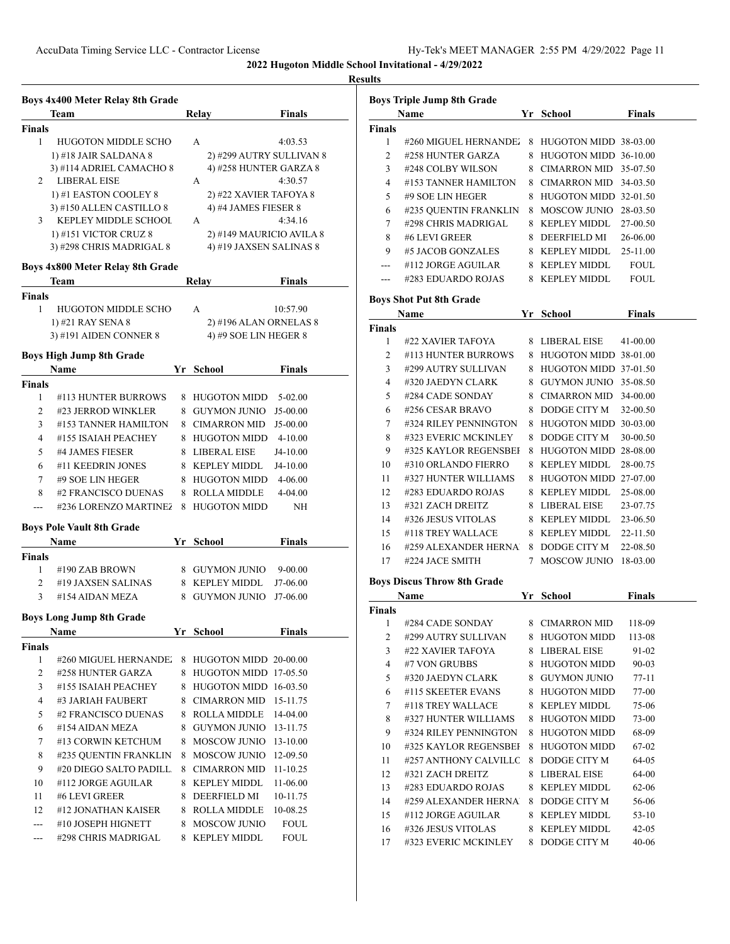# **Results**

|                | Boys 4x400 Meter Relay 8th Grade                |    |                                  |               |  |
|----------------|-------------------------------------------------|----|----------------------------------|---------------|--|
|                | Team                                            |    | Relay                            | <b>Finals</b> |  |
| Finals         |                                                 |    |                                  |               |  |
| 1              | <b>HUGOTON MIDDLE SCHO</b>                      |    | A                                | 4:03.53       |  |
|                | 1) #18 JAIR SALDANA 8                           |    | 2) #299 AUTRY SULLIVAN 8         |               |  |
| $\overline{2}$ | 3) #114 ADRIEL CAMACHO 8<br><b>LIBERAL EISE</b> |    | 4) #258 HUNTER GARZA 8<br>A      | 4:30.57       |  |
|                | 1) #1 EASTON COOLEY 8                           |    | 2) #22 XAVIER TAFOYA 8           |               |  |
|                | 3) #150 ALLEN CASTILLO 8                        |    | 4) #4 JAMES FIESER 8             |               |  |
| 3              | KEPLEY MIDDLE SCHOOL                            |    | A                                | 4:34.16       |  |
|                | 1) #151 VICTOR CRUZ 8                           |    | 2) #149 MAURICIO AVILA 8         |               |  |
|                | 3) #298 CHRIS MADRIGAL 8                        |    | 4) #19 JAXSEN SALINAS 8          |               |  |
|                | Boys 4x800 Meter Relay 8th Grade                |    |                                  |               |  |
|                | Team                                            |    | Relay                            | <b>Finals</b> |  |
| <b>Finals</b>  |                                                 |    |                                  |               |  |
| 1              | <b>HUGOTON MIDDLE SCHO</b>                      |    | A                                | 10:57.90      |  |
|                | 1) #21 RAY SENA 8                               |    | 2) #196 ALAN ORNELAS 8           |               |  |
|                | 3) #191 AIDEN CONNER 8                          |    | 4) #9 SOE LIN HEGER 8            |               |  |
|                | <b>Boys High Jump 8th Grade</b>                 |    |                                  |               |  |
|                | <b>Name</b>                                     |    | Yr School                        | <b>Finals</b> |  |
| <b>Finals</b>  |                                                 |    |                                  |               |  |
| 1              | #113 HUNTER BURROWS                             | 8. | <b>HUGOTON MIDD</b>              | 5-02.00       |  |
| 2              | #23 JERROD WINKLER                              | 8. | <b>GUYMON JUNIO</b>              | J5-00.00      |  |
| 3              | #153 TANNER HAMILTON                            |    | 8 CIMARRON MID                   | J5-00.00      |  |
| 4              | #155 ISAIAH PEACHEY                             |    | 8 HUGOTON MIDD                   | 4-10.00       |  |
| 5              | #4 JAMES FIESER                                 |    | 8 LIBERAL EISE                   | J4-10.00      |  |
| 6              | #11 KEEDRIN JONES                               |    | 8 KEPLEY MIDDL                   | J4-10.00      |  |
| 7              | #9 SOE LIN HEGER                                |    | 8 HUGOTON MIDD                   | 4-06.00       |  |
| 8              | #2 FRANCISCO DUENAS                             | 8  | <b>ROLLA MIDDLE</b>              | 4-04.00       |  |
| $---$          | #236 LORENZO MARTINE2                           | 8  | <b>HUGOTON MIDD</b>              | NΗ            |  |
|                | <b>Boys Pole Vault 8th Grade</b>                |    |                                  |               |  |
|                | Name                                            |    | Yr School                        | <b>Finals</b> |  |
| <b>Finals</b>  |                                                 |    |                                  |               |  |
| 1              | #190 ZAB BROWN                                  |    | 8 GUYMON JUNIO                   | 9-00.00       |  |
| 2              | #19 JAXSEN SALINAS                              |    | 8 KEPLEY MIDDL                   | J7-06.00      |  |
| 3              | #154 AIDAN MEZA                                 | 8. | <b>GUYMON JUNIO</b>              | J7-06.00      |  |
|                | Boys Long Jump 8th Grade                        |    |                                  |               |  |
|                | Name                                            |    | Yr School                        | <b>Finals</b> |  |
| Finals         |                                                 |    |                                  |               |  |
| 1              | #260 MIGUEL HERNANDE.                           | 8  | HUGOTON MIDD 20-00.00            |               |  |
| 2              | #258 HUNTER GARZA                               |    | 8 HUGOTON MIDD 17-05.50          |               |  |
| 3              | #155 ISAIAH PEACHEY                             |    | 8 HUGOTON MIDD 16-03.50          |               |  |
| 4              | #3 JARIAH FAUBERT                               |    | 8 CIMARRON MID                   | 15-11.75      |  |
| 5              | #2 FRANCISCO DUENAS                             |    | 8 ROLLA MIDDLE                   | 14-04.00      |  |
| 6              | #154 AIDAN MEZA                                 |    | 8 GUYMON JUNIO                   | 13-11.75      |  |
| 7              | #13 CORWIN KETCHUM                              |    | 8 MOSCOW JUNIO                   | 13-10.00      |  |
| 8              | #235 QUENTIN FRANKLIN                           |    | 8 MOSCOW JUNIO                   | 12-09.50      |  |
| 9              | #20 DIEGO SALTO PADILL.                         |    | 8 CIMARRON MID                   | 11-10.25      |  |
| 10             | #112 JORGE AGUILAR                              |    | 8 KEPLEY MIDDL                   | 11-06.00      |  |
| 11             | #6 LEVI GREER                                   |    | 8 DEERFIELD MI                   | 10-11.75      |  |
| 12             | #12 JONATHAN KAISER                             |    | 8 ROLLA MIDDLE                   | 10-08.25      |  |
| ---            | #10 JOSEPH HIGNETT<br>#298 CHRIS MADRIGAL       |    | 8 MOSCOW JUNIO<br>8 KEPLEY MIDDL | FOUL<br>FOUL  |  |
| ---            |                                                 |    |                                  |               |  |

|               | <b>Boys Triple Jump 8th Grade</b><br>Name  |         | Yr School                           | <b>Finals</b>                                               |
|---------------|--------------------------------------------|---------|-------------------------------------|-------------------------------------------------------------|
| <b>Finals</b> |                                            |         |                                     |                                                             |
| 1             | #260 MIGUEL HERNANDE.                      | 8       | HUGOTON MIDD 38-03.00               |                                                             |
| 2             | #258 HUNTER GARZA                          | 8       | HUGOTON MIDD 36-10.00               |                                                             |
| 3             | #248 COLBY WILSON                          | 8       | CIMARRON MID                        | 35-07.50                                                    |
| 4             | #153 TANNER HAMILTON                       |         | 8 CIMARRON MID                      | 34-03.50                                                    |
| 5             | #9 SOE LIN HEGER                           |         | 8 HUGOTON MIDD 32-01.50             |                                                             |
|               |                                            |         |                                     |                                                             |
| 6             | #235 QUENTIN FRANKLIN                      |         | 8 MOSCOW JUNIO                      | 28-03.50                                                    |
| 7             | #298 CHRIS MADRIGAL                        |         | 8 KEPLEY MIDDL                      | 27-00.50                                                    |
| 8             | #6 LEVI GREER                              |         | 8 DEERFIELD MI                      | 26-06.00                                                    |
| 9             | #5 JACOB GONZALES                          |         | 8 KEPLEY MIDDL                      | 25-11.00                                                    |
| ---           | #112 JORGE AGUILAR                         |         | 8 KEPLEY MIDDL                      | <b>FOUL</b>                                                 |
| ---           | #283 EDUARDO ROJAS                         |         | 8 KEPLEY MIDDL                      | <b>FOUL</b>                                                 |
|               | <b>Boys Shot Put 8th Grade</b>             |         |                                     |                                                             |
|               | Name                                       |         | Yr School                           | <b>Finals</b>                                               |
| <b>Finals</b> |                                            |         |                                     |                                                             |
| 1             | #22 XAVIER TAFOYA                          |         | 8 LIBERAL EISE                      | 41-00.00                                                    |
| 2             | #113 HUNTER BURROWS                        |         | 8 HUGOTON MIDD 38-01.00             |                                                             |
| 3             | #299 AUTRY SULLIVAN                        |         | 8 HUGOTON MIDD 37-01.50             |                                                             |
| 4             | #320 JAEDYN CLARK                          |         | 8 GUYMON JUNIO                      | 35-08.50                                                    |
| 5             | #284 CADE SONDAY                           |         | 8 CIMARRON MID                      | 34-00.00                                                    |
| 6             | #256 CESAR BRAVO                           | 8       | DODGE CITY M                        | 32-00.50                                                    |
| 7             | #324 RILEY PENNINGTON                      | 8       | HUGOTON MIDD 30-03.00               |                                                             |
| 8             | #323 EVERIC MCKINLEY                       | 8       | DODGE CITY M                        | 30-00.50                                                    |
| 9             | #325 KAYLOR REGENSBEI                      | 8       | HUGOTON MIDD 28-08.00               |                                                             |
| 10            | #310 ORLANDO FIERRO                        | 8       | <b>KEPLEY MIDDL</b>                 | 28-00.75                                                    |
|               |                                            |         |                                     |                                                             |
| 11            | #327 HUNTER WILLIAMS                       | 8       | HUGOTON MIDD 27-07.00               |                                                             |
| 12            | #283 EDUARDO ROJAS                         | 8       | <b>KEPLEY MIDDL</b>                 | 25-08.00                                                    |
| 13            | #321 ZACH DREITZ                           |         | 8 LIBERAL EISE                      | 23-07.75                                                    |
| 14            | #326 JESUS VITOLAS                         |         | 8 KEPLEY MIDDL                      | 23-06.50                                                    |
| 15            | #118 TREY WALLACE                          |         | 8 KEPLEY MIDDL                      | 22-11.50                                                    |
| 16            | #259 ALEXANDER HERNA                       |         | 8 DODGE CITY M                      | 22-08.50                                                    |
| 17            | #224 JACE SMITH                            | 7       | <b>MOSCOW JUNIO</b>                 | 18-03.00                                                    |
|               | <b>Boys Discus Throw 8th Grade</b>         |         |                                     |                                                             |
|               | Name                                       | Yr      | School                              | <b>Finals</b>                                               |
| Finals        |                                            |         |                                     |                                                             |
| 1             | #284 CADE SONDAY                           | 8       | <b>CIMARRON MID</b>                 | 118-09                                                      |
| 2             | #299 AUTRY SULLIVAN                        |         | 8 HUGOTON MIDD                      | 113-08                                                      |
| 3             | #22 XAVIER TAFOYA                          |         | 8 LIBERAL EISE                      | 91-02                                                       |
| 4             | #7 VON GRUBBS                              | 8       | <b>HUGOTON MIDD</b>                 | 90-03                                                       |
|               |                                            |         | 8 GUYMON JUNIO                      | 77-11                                                       |
| 5             | #320 JAEDYN CLARK                          |         |                                     |                                                             |
| 6             | #115 SKEETER EVANS                         | 8       | <b>HUGOTON MIDD</b>                 |                                                             |
| 7             | #118 TREY WALLACE                          | 8       | <b>KEPLEY MIDDL</b>                 |                                                             |
| 8             | #327 HUNTER WILLIAMS                       | 8       | <b>HUGOTON MIDD</b>                 |                                                             |
|               |                                            | 8       |                                     |                                                             |
| 9             | #324 RILEY PENNINGTON                      |         | <b>HUGOTON MIDD</b>                 |                                                             |
| 10            | #325 KAYLOR REGENSBEI                      | 8       | <b>HUGOTON MIDD</b>                 |                                                             |
| 11            | #257 ANTHONY CALVILLC                      | 8       | DODGE CITY M                        |                                                             |
| 12            | #321 ZACH DREITZ                           |         | 8 LIBERAL EISE                      | 77-00<br>75-06<br>73-00<br>68-09<br>67-02<br>64-05<br>64-00 |
| 13            | #283 EDUARDO ROJAS                         |         | 8 KEPLEY MIDDL                      | 62-06                                                       |
| 14            | #259 ALEXANDER HERNA                       | 8       | DODGE CITY M                        | 56-06                                                       |
| 15            | #112 JORGE AGUILAR                         | 8       | <b>KEPLEY MIDDL</b>                 | 53-10                                                       |
| 16<br>17      | #326 JESUS VITOLAS<br>#323 EVERIC MCKINLEY | 8<br>8. | <b>KEPLEY MIDDL</b><br>DODGE CITY M | 42-05<br>40-06                                              |